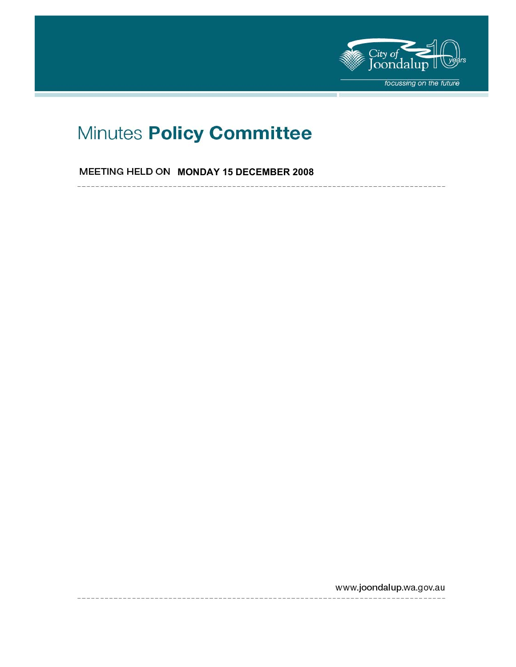

# Minutes Policy Committee

**MEETING HELD ON MONDAY 15 DECEMBER 2008** 

 $- - -$ 

www.joondalup.wa.gov.au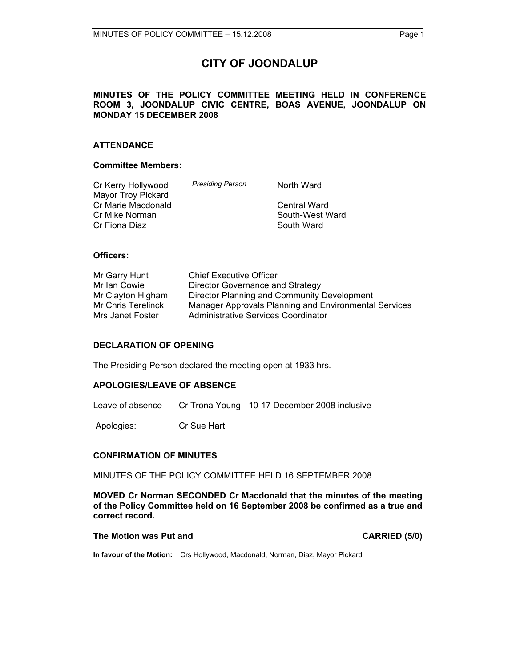# **CITY OF JOONDALUP**

#### **MINUTES OF THE POLICY COMMITTEE MEETING HELD IN CONFERENCE ROOM 3, JOONDALUP CIVIC CENTRE, BOAS AVENUE, JOONDALUP ON MONDAY 15 DECEMBER 2008**

#### **ATTENDANCE**

#### **Committee Members:**

| Cr Kerry Hollywood        | <b>Presiding Person</b> | North Ward      |
|---------------------------|-------------------------|-----------------|
| <b>Mayor Troy Pickard</b> |                         |                 |
| Cr Marie Macdonald        |                         | Central Ward    |
| Cr Mike Norman            |                         | South-West Ward |
| Cr Fiona Diaz             |                         | South Ward      |

#### **Officers:**

| Mr Garry Hunt      | <b>Chief Executive Officer</b>                        |
|--------------------|-------------------------------------------------------|
| Mr Ian Cowie       | Director Governance and Strategy                      |
| Mr Clayton Higham  | Director Planning and Community Development           |
| Mr Chris Terelinck | Manager Approvals Planning and Environmental Services |
| Mrs Janet Foster   | Administrative Services Coordinator                   |

#### **DECLARATION OF OPENING**

The Presiding Person declared the meeting open at 1933 hrs.

#### **APOLOGIES/LEAVE OF ABSENCE**

Leave of absence Cr Trona Young - 10-17 December 2008 inclusive

Apologies: Cr Sue Hart

#### **CONFIRMATION OF MINUTES**

#### MINUTES OF THE POLICY COMMITTEE HELD 16 SEPTEMBER 2008

**MOVED Cr Norman SECONDED Cr Macdonald that the minutes of the meeting of the Policy Committee held on 16 September 2008 be confirmed as a true and correct record.** 

**The Motion was Put and CARRIED (5/0) CARRIED (5/0)** 

**In favour of the Motion:** Crs Hollywood, Macdonald, Norman, Diaz, Mayor Pickard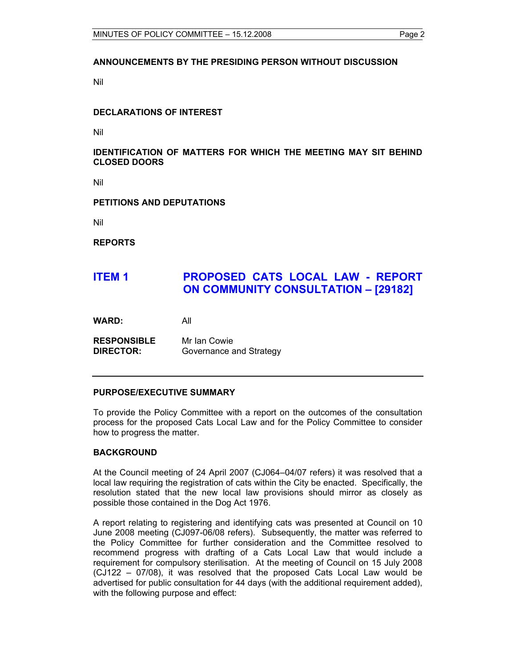#### **ANNOUNCEMENTS BY THE PRESIDING PERSON WITHOUT DISCUSSION**

Nil

#### **DECLARATIONS OF INTEREST**

Nil

#### **IDENTIFICATION OF MATTERS FOR WHICH THE MEETING MAY SIT BEHIND CLOSED DOORS**

Nil

**PETITIONS AND DEPUTATIONS** 

Nil

**REPORTS** 

# **ITEM 1 PROPOSED CATS LOCAL LAW - REPORT ON COMMUNITY CONSULTATION – [29182]**

**WARD:** All

**RESPONSIBLE** Mr Ian Cowie **DIRECTOR:** Governance and Strategy

#### **PURPOSE/EXECUTIVE SUMMARY**

To provide the Policy Committee with a report on the outcomes of the consultation process for the proposed Cats Local Law and for the Policy Committee to consider how to progress the matter.

#### **BACKGROUND**

At the Council meeting of 24 April 2007 (CJ064–04/07 refers) it was resolved that a local law requiring the registration of cats within the City be enacted. Specifically, the resolution stated that the new local law provisions should mirror as closely as possible those contained in the Dog Act 1976.

A report relating to registering and identifying cats was presented at Council on 10 June 2008 meeting (CJ097-06/08 refers). Subsequently, the matter was referred to the Policy Committee for further consideration and the Committee resolved to recommend progress with drafting of a Cats Local Law that would include a requirement for compulsory sterilisation. At the meeting of Council on 15 July 2008 (CJ122 – 07/08), it was resolved that the proposed Cats Local Law would be advertised for public consultation for 44 days (with the additional requirement added), with the following purpose and effect: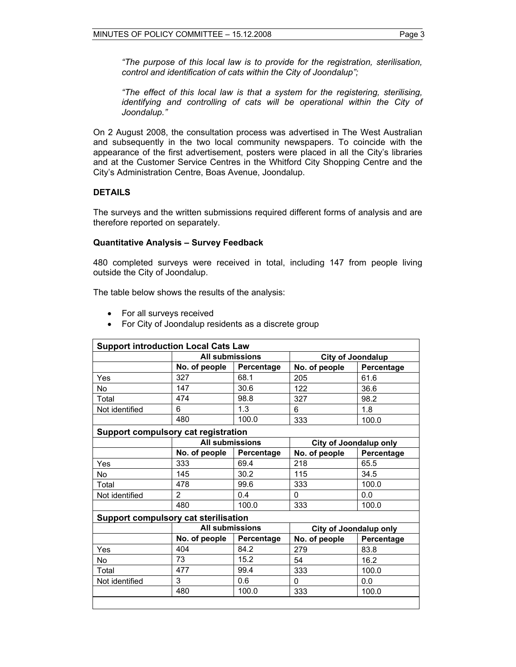*"The purpose of this local law is to provide for the registration, sterilisation, control and identification of cats within the City of Joondalup";* 

*"The effect of this local law is that a system for the registering, sterilising, identifying and controlling of cats will be operational within the City of Joondalup."* 

On 2 August 2008, the consultation process was advertised in The West Australian and subsequently in the two local community newspapers. To coincide with the appearance of the first advertisement, posters were placed in all the City's libraries and at the Customer Service Centres in the Whitford City Shopping Centre and the City's Administration Centre, Boas Avenue, Joondalup.

#### **DETAILS**

The surveys and the written submissions required different forms of analysis and are therefore reported on separately.

#### **Quantitative Analysis – Survey Feedback**

480 completed surveys were received in total, including 147 from people living outside the City of Joondalup.

The table below shows the results of the analysis:

- For all surveys received
- For City of Joondalup residents as a discrete group

|                |                                      | <b>Support introduction Local Cats Law</b><br><b>All submissions</b> |                               | <b>City of Joondalup</b>      |  |
|----------------|--------------------------------------|----------------------------------------------------------------------|-------------------------------|-------------------------------|--|
|                | No. of people                        | Percentage                                                           | No. of people                 | Percentage                    |  |
| Yes            | 327                                  | 68.1                                                                 | 205                           | 61.6                          |  |
| No             | 147                                  | 30.6                                                                 | 122                           | 36.6                          |  |
| Total          | 474                                  | 98.8                                                                 | 327                           | 98.2                          |  |
| Not identified | 6                                    | 1.3                                                                  | 6                             | 1.8                           |  |
|                | 480                                  | 100.0                                                                | 333                           | 100.0                         |  |
|                | Support compulsory cat registration  |                                                                      |                               |                               |  |
|                | <b>All submissions</b>               |                                                                      |                               | <b>City of Joondalup only</b> |  |
|                | No. of people                        | Percentage                                                           | No. of people                 | Percentage                    |  |
| Yes            | 333                                  | 69.4                                                                 | 218                           | 65.5                          |  |
| No             | 145                                  | 30.2                                                                 | 115                           | 34.5                          |  |
| Total          | 478                                  | 99.6                                                                 | 333                           | 100.0                         |  |
| Not identified | $\overline{2}$                       | 0.4                                                                  | 0                             | 0.0                           |  |
|                | 480                                  | 100.0                                                                | 333                           | 100.0                         |  |
|                | Support compulsory cat sterilisation |                                                                      |                               |                               |  |
|                | <b>All submissions</b>               |                                                                      | <b>City of Joondalup only</b> |                               |  |
|                | No. of people                        | Percentage                                                           | No. of people                 | Percentage                    |  |
| Yes            | 404                                  | 84.2                                                                 | 279                           | 83.8                          |  |
| No             | 73                                   | 15.2                                                                 | 54                            | 16.2                          |  |
| Total          | 477                                  | 99.4                                                                 | 333                           | 100.0                         |  |
| Not identified | 3                                    | 0.6                                                                  | 0                             | 0.0                           |  |
|                | 480                                  | 100.0                                                                | 333                           | 100.0                         |  |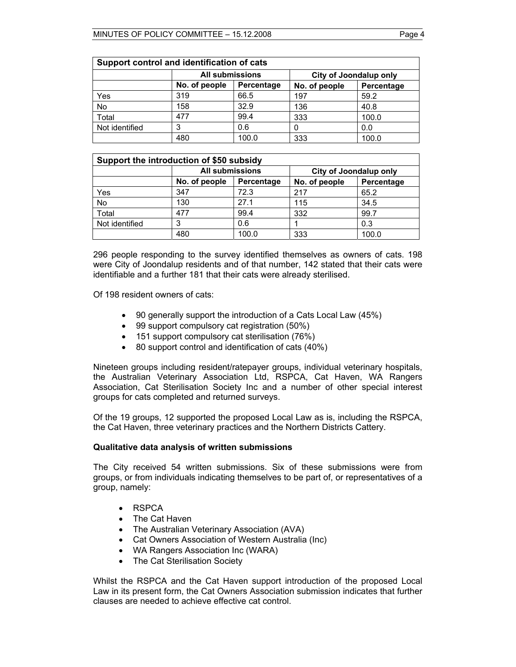| Support control and identification of cats |               |                                                  |               |            |
|--------------------------------------------|---------------|--------------------------------------------------|---------------|------------|
|                                            |               | <b>All submissions</b><br>City of Joondalup only |               |            |
|                                            | No. of people | Percentage                                       | No. of people | Percentage |
| Yes                                        | 319           | 66.5                                             | 197           | 59.2       |
| No                                         | 158           | 32.9                                             | 136           | 40.8       |
| Total                                      | 477           | 99.4                                             | 333           | 100.0      |
| Not identified                             | 3             | 0.6                                              |               | 0.0        |
|                                            | 480           | 100.0                                            | 333           | 100.0      |

| Support the introduction of \$50 subsidy |               |                        |               |                               |  |
|------------------------------------------|---------------|------------------------|---------------|-------------------------------|--|
|                                          |               | <b>All submissions</b> |               | <b>City of Joondalup only</b> |  |
|                                          | No. of people | Percentage             | No. of people | Percentage                    |  |
| Yes                                      | 347           | 72.3                   | 217           | 65.2                          |  |
| No                                       | 130           | 27.1                   | 115           | 34.5                          |  |
| Total                                    | 477           | 99.4                   | 332           | 99.7                          |  |
| Not identified                           |               | 0.6                    |               | 0.3                           |  |
|                                          | 480           | 100.0                  | 333           | 100.0                         |  |

296 people responding to the survey identified themselves as owners of cats. 198 were City of Joondalup residents and of that number, 142 stated that their cats were identifiable and a further 181 that their cats were already sterilised.

Of 198 resident owners of cats:

- 90 generally support the introduction of a Cats Local Law (45%)
- 99 support compulsory cat registration (50%)
- 151 support compulsory cat sterilisation (76%)
- 80 support control and identification of cats (40%)

Nineteen groups including resident/ratepayer groups, individual veterinary hospitals, the Australian Veterinary Association Ltd, RSPCA, Cat Haven, WA Rangers Association, Cat Sterilisation Society Inc and a number of other special interest groups for cats completed and returned surveys.

Of the 19 groups, 12 supported the proposed Local Law as is, including the RSPCA, the Cat Haven, three veterinary practices and the Northern Districts Cattery.

#### **Qualitative data analysis of written submissions**

The City received 54 written submissions. Six of these submissions were from groups, or from individuals indicating themselves to be part of, or representatives of a group, namely:

- RSPCA
- The Cat Haven
- The Australian Veterinary Association (AVA)
- Cat Owners Association of Western Australia (Inc)
- WA Rangers Association Inc (WARA)
- The Cat Sterilisation Society

Whilst the RSPCA and the Cat Haven support introduction of the proposed Local Law in its present form, the Cat Owners Association submission indicates that further clauses are needed to achieve effective cat control.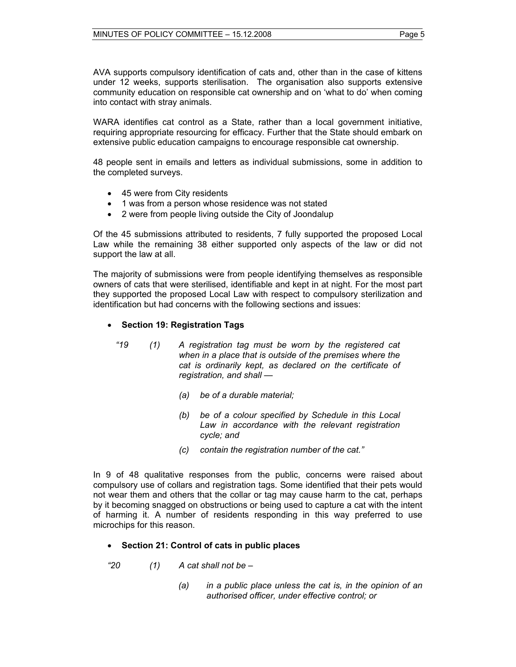AVA supports compulsory identification of cats and, other than in the case of kittens under 12 weeks, supports sterilisation. The organisation also supports extensive community education on responsible cat ownership and on 'what to do' when coming into contact with stray animals.

WARA identifies cat control as a State, rather than a local government initiative, requiring appropriate resourcing for efficacy. Further that the State should embark on extensive public education campaigns to encourage responsible cat ownership.

48 people sent in emails and letters as individual submissions, some in addition to the completed surveys.

- 45 were from City residents
- 1 was from a person whose residence was not stated
- 2 were from people living outside the City of Joondalup

Of the 45 submissions attributed to residents, 7 fully supported the proposed Local Law while the remaining 38 either supported only aspects of the law or did not support the law at all.

The majority of submissions were from people identifying themselves as responsible owners of cats that were sterilised, identifiable and kept in at night. For the most part they supported the proposed Local Law with respect to compulsory sterilization and identification but had concerns with the following sections and issues:

#### • **Section 19: Registration Tags**

- *"19 (1) A registration tag must be worn by the registered cat when in a place that is outside of the premises where the cat is ordinarily kept, as declared on the certificate of registration, and shall —* 
	- *(a) be of a durable material;*
	- *(b) be of a colour specified by Schedule in this Local Law in accordance with the relevant registration cycle; and*
	- *(c) contain the registration number of the cat."*

In 9 of 48 qualitative responses from the public, concerns were raised about compulsory use of collars and registration tags. Some identified that their pets would not wear them and others that the collar or tag may cause harm to the cat, perhaps by it becoming snagged on obstructions or being used to capture a cat with the intent of harming it. A number of residents responding in this way preferred to use microchips for this reason.

#### • **Section 21: Control of cats in public places**

- *"20 (1) A cat shall not be* 
	- *(a) in a public place unless the cat is, in the opinion of an authorised officer, under effective control; or*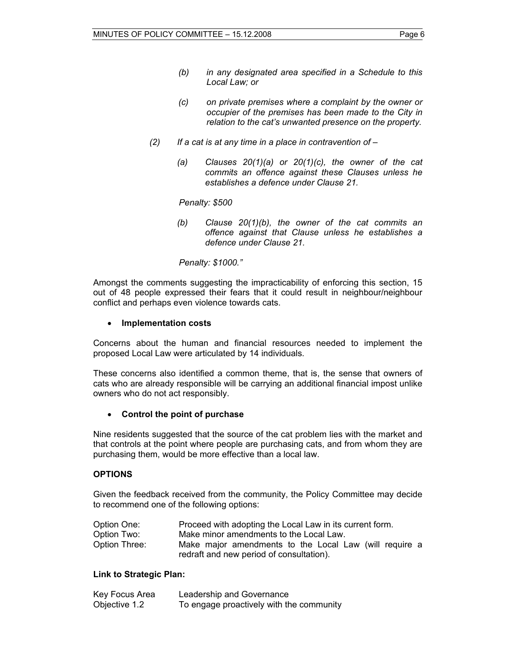- *(b) in any designated area specified in a Schedule to this Local Law; or*
- *(c) on private premises where a complaint by the owner or occupier of the premises has been made to the City in relation to the cat's unwanted presence on the property.*
- *(2) If a cat is at any time in a place in contravention of* 
	- *(a) Clauses 20(1)(a) or 20(1)(c), the owner of the cat commits an offence against these Clauses unless he establishes a defence under Clause 21.*

 *Penalty: \$500* 

*(b) Clause 20(1)(b), the owner of the cat commits an offence against that Clause unless he establishes a defence under Clause 21.* 

#### *Penalty: \$1000."*

Amongst the comments suggesting the impracticability of enforcing this section, 15 out of 48 people expressed their fears that it could result in neighbour/neighbour conflict and perhaps even violence towards cats.

#### • **Implementation costs**

Concerns about the human and financial resources needed to implement the proposed Local Law were articulated by 14 individuals.

These concerns also identified a common theme, that is, the sense that owners of cats who are already responsible will be carrying an additional financial impost unlike owners who do not act responsibly.

#### • **Control the point of purchase**

Nine residents suggested that the source of the cat problem lies with the market and that controls at the point where people are purchasing cats, and from whom they are purchasing them, would be more effective than a local law.

#### **OPTIONS**

Given the feedback received from the community, the Policy Committee may decide to recommend one of the following options:

| Option One:   | Proceed with adopting the Local Law in its current form.                                           |
|---------------|----------------------------------------------------------------------------------------------------|
| Option Two:   | Make minor amendments to the Local Law.                                                            |
| Option Three: | Make major amendments to the Local Law (will require a<br>redraft and new period of consultation). |

#### **Link to Strategic Plan:**

| Key Focus Area | Leadership and Governance                |
|----------------|------------------------------------------|
| Objective 1.2  | To engage proactively with the community |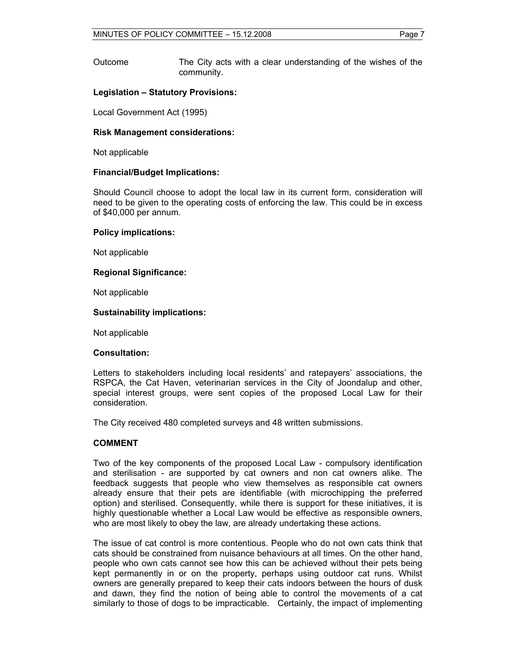Outcome The City acts with a clear understanding of the wishes of the community.

#### **Legislation – Statutory Provisions:**

Local Government Act (1995)

#### **Risk Management considerations:**

Not applicable

#### **Financial/Budget Implications:**

Should Council choose to adopt the local law in its current form, consideration will need to be given to the operating costs of enforcing the law. This could be in excess of \$40,000 per annum.

#### **Policy implications:**

Not applicable

#### **Regional Significance:**

Not applicable

#### **Sustainability implications:**

Not applicable

#### **Consultation:**

Letters to stakeholders including local residents' and ratepayers' associations, the RSPCA, the Cat Haven, veterinarian services in the City of Joondalup and other, special interest groups, were sent copies of the proposed Local Law for their consideration.

The City received 480 completed surveys and 48 written submissions.

#### **COMMENT**

Two of the key components of the proposed Local Law - compulsory identification and sterilisation - are supported by cat owners and non cat owners alike. The feedback suggests that people who view themselves as responsible cat owners already ensure that their pets are identifiable (with microchipping the preferred option) and sterilised. Consequently, while there is support for these initiatives, it is highly questionable whether a Local Law would be effective as responsible owners, who are most likely to obey the law, are already undertaking these actions.

The issue of cat control is more contentious. People who do not own cats think that cats should be constrained from nuisance behaviours at all times. On the other hand, people who own cats cannot see how this can be achieved without their pets being kept permanently in or on the property, perhaps using outdoor cat runs. Whilst owners are generally prepared to keep their cats indoors between the hours of dusk and dawn, they find the notion of being able to control the movements of a cat similarly to those of dogs to be impracticable. Certainly, the impact of implementing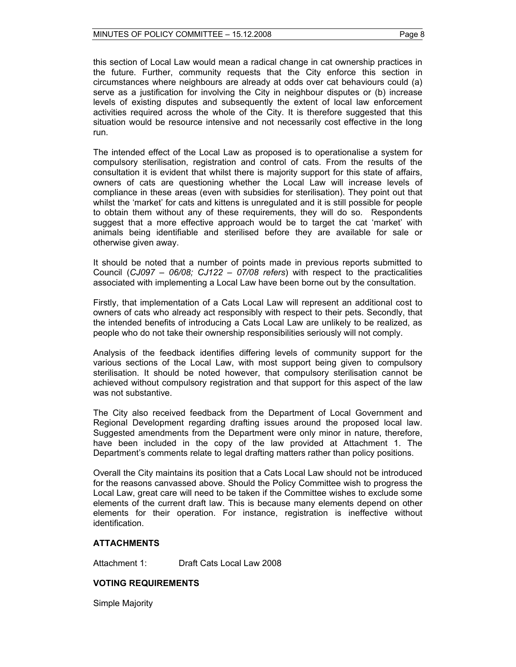this section of Local Law would mean a radical change in cat ownership practices in the future. Further, community requests that the City enforce this section in circumstances where neighbours are already at odds over cat behaviours could (a) serve as a justification for involving the City in neighbour disputes or (b) increase levels of existing disputes and subsequently the extent of local law enforcement activities required across the whole of the City. It is therefore suggested that this situation would be resource intensive and not necessarily cost effective in the long run.

The intended effect of the Local Law as proposed is to operationalise a system for compulsory sterilisation, registration and control of cats. From the results of the consultation it is evident that whilst there is majority support for this state of affairs, owners of cats are questioning whether the Local Law will increase levels of compliance in these areas (even with subsidies for sterilisation). They point out that whilst the 'market' for cats and kittens is unregulated and it is still possible for people to obtain them without any of these requirements, they will do so. Respondents suggest that a more effective approach would be to target the cat 'market' with animals being identifiable and sterilised before they are available for sale or otherwise given away.

It should be noted that a number of points made in previous reports submitted to Council (*CJ097 – 06/08; CJ122 – 07/08 refers*) with respect to the practicalities associated with implementing a Local Law have been borne out by the consultation.

Firstly, that implementation of a Cats Local Law will represent an additional cost to owners of cats who already act responsibly with respect to their pets. Secondly, that the intended benefits of introducing a Cats Local Law are unlikely to be realized, as people who do not take their ownership responsibilities seriously will not comply.

Analysis of the feedback identifies differing levels of community support for the various sections of the Local Law, with most support being given to compulsory sterilisation. It should be noted however, that compulsory sterilisation cannot be achieved without compulsory registration and that support for this aspect of the law was not substantive.

The City also received feedback from the Department of Local Government and Regional Development regarding drafting issues around the proposed local law. Suggested amendments from the Department were only minor in nature, therefore, have been included in the copy of the law provided at Attachment 1. The Department's comments relate to legal drafting matters rather than policy positions.

Overall the City maintains its position that a Cats Local Law should not be introduced for the reasons canvassed above. Should the Policy Committee wish to progress the Local Law, great care will need to be taken if the Committee wishes to exclude some elements of the current draft law. This is because many elements depend on other elements for their operation. For instance, registration is ineffective without identification.

#### **ATTACHMENTS**

Attachment 1: Draft Cats Local Law 2008

### **VOTING REQUIREMENTS**

Simple Majority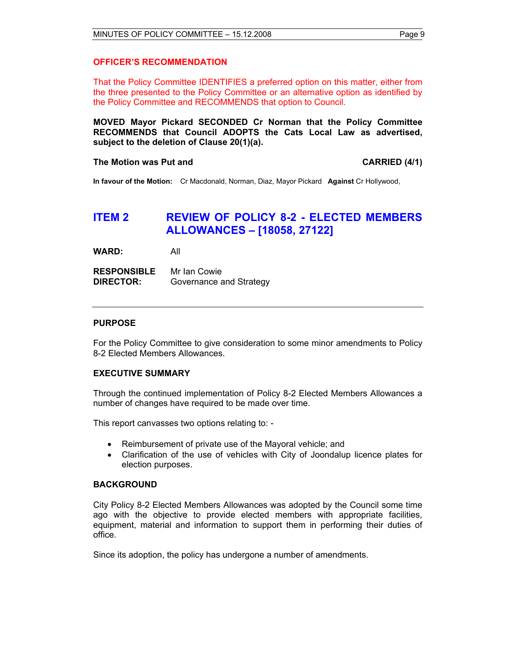#### **OFFICER'S RECOMMENDATION**

That the Policy Committee IDENTIFIES a preferred option on this matter, either from the three presented to the Policy Committee or an alternative option as identified by the Policy Committee and RECOMMENDS that option to Council.

**MOVED Mayor Pickard SECONDED Cr Norman that the Policy Committee RECOMMENDS that Council ADOPTS the Cats Local Law as advertised, subject to the deletion of Clause 20(1)(a).** 

#### **The Motion was Put and CARRIED (4/1) CARRIED (4/1)**

**In favour of the Motion:** Cr Macdonald, Norman, Diaz, Mayor Pickard **Against** Cr Hollywood,

# **ITEM 2 REVIEW OF POLICY 8-2 - ELECTED MEMBERS ALLOWANCES – [18058, 27122]**

**WARD:** All

**RESPONSIBLE** Mr Ian Cowie **DIRECTOR:** Governance and Strategy

#### **PURPOSE**

For the Policy Committee to give consideration to some minor amendments to Policy 8-2 Elected Members Allowances.

#### **EXECUTIVE SUMMARY**

Through the continued implementation of Policy 8-2 Elected Members Allowances a number of changes have required to be made over time.

This report canvasses two options relating to: -

- Reimbursement of private use of the Mayoral vehicle; and
- Clarification of the use of vehicles with City of Joondalup licence plates for election purposes.

#### **BACKGROUND**

City Policy 8-2 Elected Members Allowances was adopted by the Council some time ago with the objective to provide elected members with appropriate facilities, equipment, material and information to support them in performing their duties of office.

Since its adoption, the policy has undergone a number of amendments.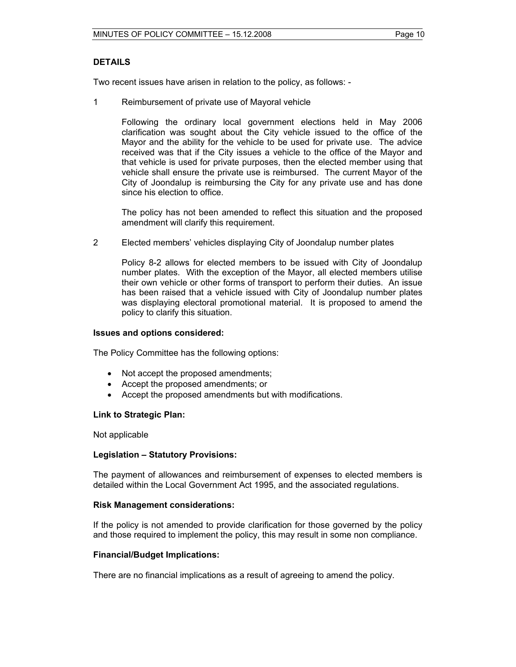#### **DETAILS**

Two recent issues have arisen in relation to the policy, as follows: -

1 Reimbursement of private use of Mayoral vehicle

Following the ordinary local government elections held in May 2006 clarification was sought about the City vehicle issued to the office of the Mayor and the ability for the vehicle to be used for private use. The advice received was that if the City issues a vehicle to the office of the Mayor and that vehicle is used for private purposes, then the elected member using that vehicle shall ensure the private use is reimbursed. The current Mayor of the City of Joondalup is reimbursing the City for any private use and has done since his election to office.

The policy has not been amended to reflect this situation and the proposed amendment will clarify this requirement.

2 Elected members' vehicles displaying City of Joondalup number plates

Policy 8-2 allows for elected members to be issued with City of Joondalup number plates. With the exception of the Mayor, all elected members utilise their own vehicle or other forms of transport to perform their duties. An issue has been raised that a vehicle issued with City of Joondalup number plates was displaying electoral promotional material. It is proposed to amend the policy to clarify this situation.

#### **Issues and options considered:**

The Policy Committee has the following options:

- Not accept the proposed amendments;
- Accept the proposed amendments; or
- Accept the proposed amendments but with modifications.

#### **Link to Strategic Plan:**

Not applicable

#### **Legislation – Statutory Provisions:**

The payment of allowances and reimbursement of expenses to elected members is detailed within the Local Government Act 1995, and the associated regulations.

#### **Risk Management considerations:**

If the policy is not amended to provide clarification for those governed by the policy and those required to implement the policy, this may result in some non compliance.

#### **Financial/Budget Implications:**

There are no financial implications as a result of agreeing to amend the policy.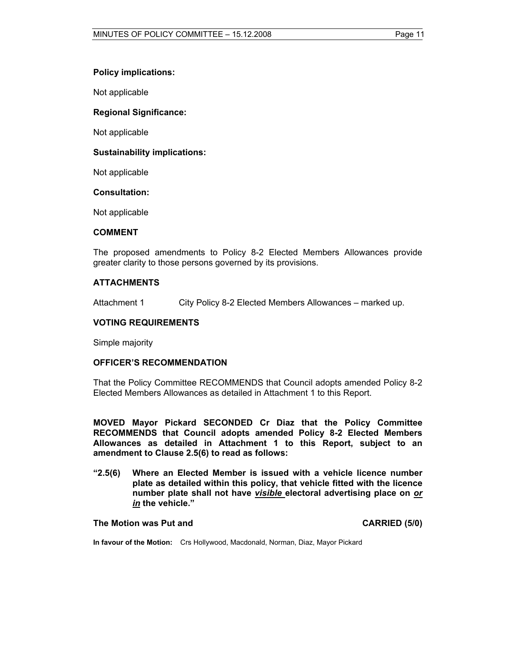#### **Policy implications:**

Not applicable

#### **Regional Significance:**

Not applicable

#### **Sustainability implications:**

Not applicable

#### **Consultation:**

Not applicable

#### **COMMENT**

The proposed amendments to Policy 8-2 Elected Members Allowances provide greater clarity to those persons governed by its provisions.

#### **ATTACHMENTS**

Attachment 1 City Policy 8-2 Elected Members Allowances – marked up.

#### **VOTING REQUIREMENTS**

Simple majority

#### **OFFICER'S RECOMMENDATION**

That the Policy Committee RECOMMENDS that Council adopts amended Policy 8-2 Elected Members Allowances as detailed in Attachment 1 to this Report.

**MOVED Mayor Pickard SECONDED Cr Diaz that the Policy Committee RECOMMENDS that Council adopts amended Policy 8-2 Elected Members Allowances as detailed in Attachment 1 to this Report, subject to an amendment to Clause 2.5(6) to read as follows:** 

**"2.5(6) Where an Elected Member is issued with a vehicle licence number plate as detailed within this policy, that vehicle fitted with the licence number plate shall not have** *visible* **electoral advertising place on** *or in* **the vehicle."** 

#### The Motion was Put and **CARRIED** (5/0)

**In favour of the Motion:** Crs Hollywood, Macdonald, Norman, Diaz, Mayor Pickard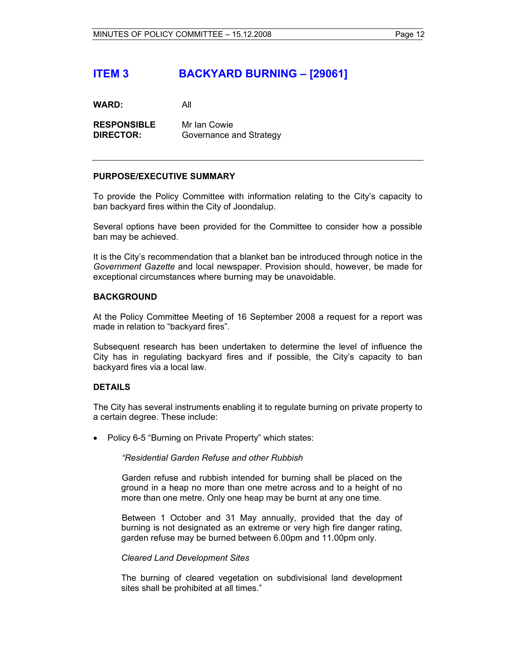# **ITEM 3 BACKYARD BURNING – [29061]**

**WARD:** All

**RESPONSIBLE** Mr Ian Cowie **DIRECTOR:** Governance and Strategy

#### **PURPOSE/EXECUTIVE SUMMARY**

To provide the Policy Committee with information relating to the City's capacity to ban backyard fires within the City of Joondalup.

Several options have been provided for the Committee to consider how a possible ban may be achieved.

It is the City's recommendation that a blanket ban be introduced through notice in the *Government Gazette* and local newspaper. Provision should, however, be made for exceptional circumstances where burning may be unavoidable.

#### **BACKGROUND**

At the Policy Committee Meeting of 16 September 2008 a request for a report was made in relation to "backyard fires".

Subsequent research has been undertaken to determine the level of influence the City has in regulating backyard fires and if possible, the City's capacity to ban backyard fires via a local law.

#### **DETAILS**

The City has several instruments enabling it to regulate burning on private property to a certain degree. These include:

• Policy 6-5 "Burning on Private Property" which states:

#### *"Residential Garden Refuse and other Rubbish*

 Garden refuse and rubbish intended for burning shall be placed on the ground in a heap no more than one metre across and to a height of no more than one metre. Only one heap may be burnt at any one time.

 Between 1 October and 31 May annually, provided that the day of burning is not designated as an extreme or very high fire danger rating, garden refuse may be burned between 6.00pm and 11.00pm only.

#### *Cleared Land Development Sites*

The burning of cleared vegetation on subdivisional land development sites shall be prohibited at all times."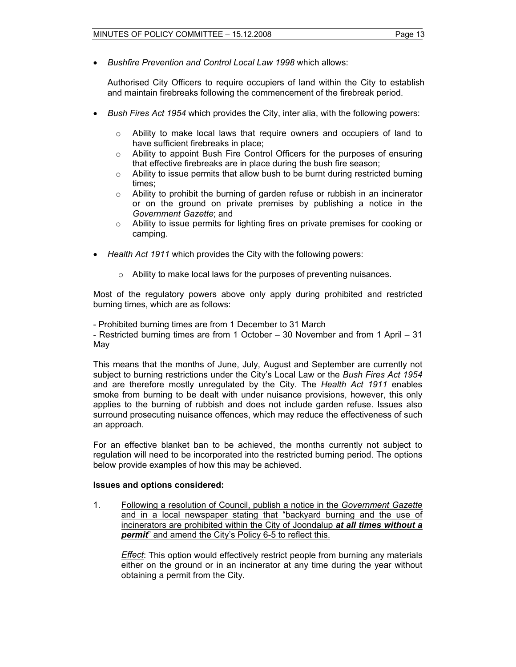• *Bushfire Prevention and Control Local Law 1998* which allows:

Authorised City Officers to require occupiers of land within the City to establish and maintain firebreaks following the commencement of the firebreak period.

- *Bush Fires Act 1954* which provides the City, inter alia, with the following powers:
	- $\circ$  Ability to make local laws that require owners and occupiers of land to have sufficient firebreaks in place;
	- $\circ$  Ability to appoint Bush Fire Control Officers for the purposes of ensuring that effective firebreaks are in place during the bush fire season;
	- $\circ$  Ability to issue permits that allow bush to be burnt during restricted burning times;
	- $\circ$  Ability to prohibit the burning of garden refuse or rubbish in an incinerator or on the ground on private premises by publishing a notice in the *Government Gazette*; and
	- $\circ$  Ability to issue permits for lighting fires on private premises for cooking or camping.
- *Health Act 1911* which provides the City with the following powers:
	- o Ability to make local laws for the purposes of preventing nuisances.

Most of the regulatory powers above only apply during prohibited and restricted burning times, which are as follows:

- Prohibited burning times are from 1 December to 31 March

- Restricted burning times are from 1 October – 30 November and from 1 April – 31 May

This means that the months of June, July, August and September are currently not subject to burning restrictions under the City's Local Law or the *Bush Fires Act 1954*  and are therefore mostly unregulated by the City. The *Health Act 1911* enables smoke from burning to be dealt with under nuisance provisions, however, this only applies to the burning of rubbish and does not include garden refuse. Issues also surround prosecuting nuisance offences, which may reduce the effectiveness of such an approach.

For an effective blanket ban to be achieved, the months currently not subject to regulation will need to be incorporated into the restricted burning period. The options below provide examples of how this may be achieved.

#### **Issues and options considered:**

1. Following a resolution of Council, publish a notice in the *Government Gazette* and in a local newspaper stating that "backyard burning and the use of incinerators are prohibited within the City of Joondalup *at all times without a permit*" and amend the City's Policy 6-5 to reflect this.

*Effect*: This option would effectively restrict people from burning any materials either on the ground or in an incinerator at any time during the year without obtaining a permit from the City.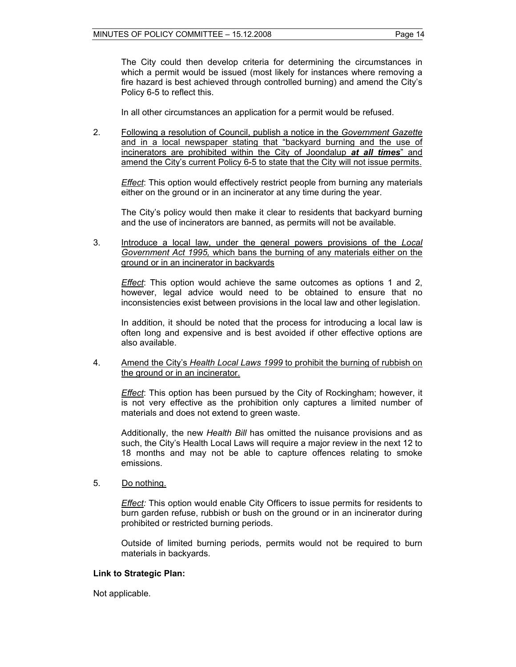The City could then develop criteria for determining the circumstances in which a permit would be issued (most likely for instances where removing a fire hazard is best achieved through controlled burning) and amend the City's Policy 6-5 to reflect this.

In all other circumstances an application for a permit would be refused.

2. Following a resolution of Council, publish a notice in the *Government Gazette* and in a local newspaper stating that "backyard burning and the use of incinerators are prohibited within the City of Joondalup *at all times*" and amend the City's current Policy 6-5 to state that the City will not issue permits.

*Effect*: This option would effectively restrict people from burning any materials either on the ground or in an incinerator at any time during the year.

The City's policy would then make it clear to residents that backyard burning and the use of incinerators are banned, as permits will not be available.

3. Introduce a local law, under the general powers provisions of the *Local Government Act 1995,* which bans the burning of any materials either on the ground or in an incinerator in backyards

*Effect*: This option would achieve the same outcomes as options 1 and 2, however, legal advice would need to be obtained to ensure that no inconsistencies exist between provisions in the local law and other legislation.

In addition, it should be noted that the process for introducing a local law is often long and expensive and is best avoided if other effective options are also available.

4. Amend the City's *Health Local Laws 1999* to prohibit the burning of rubbish on the ground or in an incinerator.

*Effect*: This option has been pursued by the City of Rockingham; however, it is not very effective as the prohibition only captures a limited number of materials and does not extend to green waste.

 Additionally, the new *Health Bill* has omitted the nuisance provisions and as such, the City's Health Local Laws will require a major review in the next 12 to 18 months and may not be able to capture offences relating to smoke emissions.

5. Do nothing.

*Effect:* This option would enable City Officers to issue permits for residents to burn garden refuse, rubbish or bush on the ground or in an incinerator during prohibited or restricted burning periods.

 Outside of limited burning periods, permits would not be required to burn materials in backyards.

#### **Link to Strategic Plan:**

Not applicable.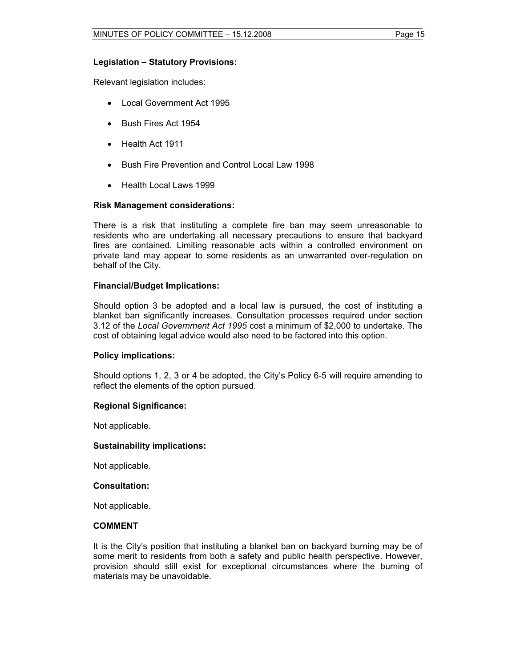#### **Legislation – Statutory Provisions:**

Relevant legislation includes:

- Local Government Act 1995
- Bush Fires Act 1954
- Health Act 1911
- Bush Fire Prevention and Control Local Law 1998
- Health Local Laws 1999

#### **Risk Management considerations:**

There is a risk that instituting a complete fire ban may seem unreasonable to residents who are undertaking all necessary precautions to ensure that backyard fires are contained. Limiting reasonable acts within a controlled environment on private land may appear to some residents as an unwarranted over-regulation on behalf of the City.

#### **Financial/Budget Implications:**

Should option 3 be adopted and a local law is pursued, the cost of instituting a blanket ban significantly increases. Consultation processes required under section 3.12 of the *Local Government Act 1995* cost a minimum of \$2,000 to undertake. The cost of obtaining legal advice would also need to be factored into this option.

#### **Policy implications:**

Should options 1, 2, 3 or 4 be adopted, the City's Policy 6-5 will require amending to reflect the elements of the option pursued.

#### **Regional Significance:**

Not applicable.

#### **Sustainability implications:**

Not applicable.

#### **Consultation:**

Not applicable.

#### **COMMENT**

It is the City's position that instituting a blanket ban on backyard burning may be of some merit to residents from both a safety and public health perspective. However, provision should still exist for exceptional circumstances where the burning of materials may be unavoidable.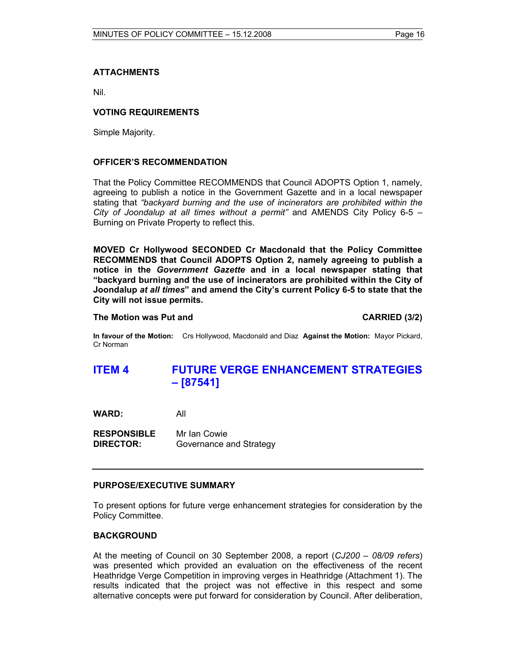### **ATTACHMENTS**

Nil.

### **VOTING REQUIREMENTS**

Simple Majority.

#### **OFFICER'S RECOMMENDATION**

That the Policy Committee RECOMMENDS that Council ADOPTS Option 1, namely, agreeing to publish a notice in the Government Gazette and in a local newspaper stating that *"backyard burning and the use of incinerators are prohibited within the City of Joondalup at all times without a permit"* and AMENDS City Policy 6-5 – Burning on Private Property to reflect this.

**MOVED Cr Hollywood SECONDED Cr Macdonald that the Policy Committee RECOMMENDS that Council ADOPTS Option 2, namely agreeing to publish a notice in the** *Government Gazette* **and in a local newspaper stating that "backyard burning and the use of incinerators are prohibited within the City of Joondalup** *at all times***" and amend the City's current Policy 6-5 to state that the City will not issue permits.** 

#### **The Motion was Put and CARRIED (3/2) CARRIED (3/2)**

**In favour of the Motion:** Crs Hollywood, Macdonald and Diaz **Against the Motion:** Mayor Pickard, Cr Norman

# **ITEM 4 FUTURE VERGE ENHANCEMENT STRATEGIES – [87541]**

**WARD:** All

**RESPONSIBLE** Mr Ian Cowie **DIRECTOR:** Governance and Strategy

#### **PURPOSE/EXECUTIVE SUMMARY**

To present options for future verge enhancement strategies for consideration by the Policy Committee.

#### **BACKGROUND**

At the meeting of Council on 30 September 2008, a report (*CJ200 – 08/09 refers*) was presented which provided an evaluation on the effectiveness of the recent Heathridge Verge Competition in improving verges in Heathridge (Attachment 1). The results indicated that the project was not effective in this respect and some alternative concepts were put forward for consideration by Council. After deliberation,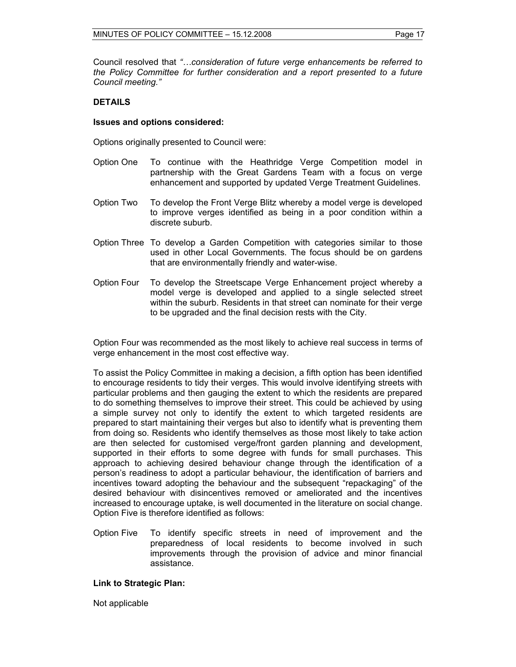Council resolved that *"…consideration of future verge enhancements be referred to the Policy Committee for further consideration and a report presented to a future Council meeting."* 

#### **DETAILS**

#### **Issues and options considered:**

Options originally presented to Council were:

- Option One To continue with the Heathridge Verge Competition model in partnership with the Great Gardens Team with a focus on verge enhancement and supported by updated Verge Treatment Guidelines.
- Option Two To develop the Front Verge Blitz whereby a model verge is developed to improve verges identified as being in a poor condition within a discrete suburb.
- Option Three To develop a Garden Competition with categories similar to those used in other Local Governments. The focus should be on gardens that are environmentally friendly and water-wise.
- Option Four To develop the Streetscape Verge Enhancement project whereby a model verge is developed and applied to a single selected street within the suburb. Residents in that street can nominate for their verge to be upgraded and the final decision rests with the City.

Option Four was recommended as the most likely to achieve real success in terms of verge enhancement in the most cost effective way.

To assist the Policy Committee in making a decision, a fifth option has been identified to encourage residents to tidy their verges. This would involve identifying streets with particular problems and then gauging the extent to which the residents are prepared to do something themselves to improve their street. This could be achieved by using a simple survey not only to identify the extent to which targeted residents are prepared to start maintaining their verges but also to identify what is preventing them from doing so. Residents who identify themselves as those most likely to take action are then selected for customised verge/front garden planning and development, supported in their efforts to some degree with funds for small purchases. This approach to achieving desired behaviour change through the identification of a person's readiness to adopt a particular behaviour, the identification of barriers and incentives toward adopting the behaviour and the subsequent "repackaging" of the desired behaviour with disincentives removed or ameliorated and the incentives increased to encourage uptake, is well documented in the literature on social change. Option Five is therefore identified as follows:

Option Five To identify specific streets in need of improvement and the preparedness of local residents to become involved in such improvements through the provision of advice and minor financial assistance.

#### **Link to Strategic Plan:**

Not applicable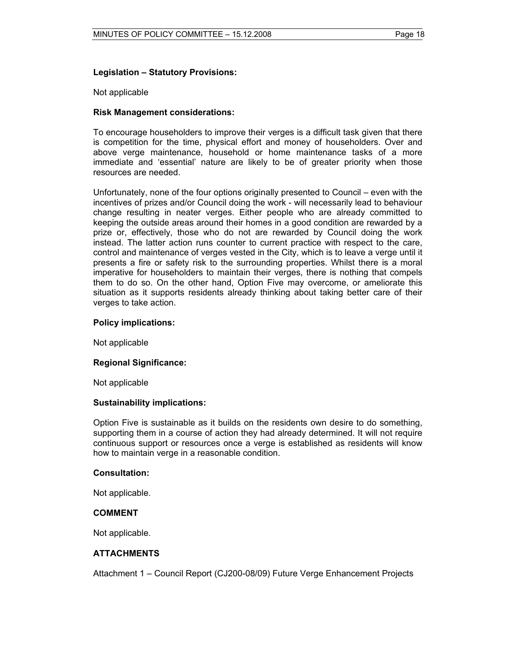#### **Legislation – Statutory Provisions:**

#### Not applicable

#### **Risk Management considerations:**

To encourage householders to improve their verges is a difficult task given that there is competition for the time, physical effort and money of householders. Over and above verge maintenance, household or home maintenance tasks of a more immediate and 'essential' nature are likely to be of greater priority when those resources are needed.

Unfortunately, none of the four options originally presented to Council – even with the incentives of prizes and/or Council doing the work - will necessarily lead to behaviour change resulting in neater verges. Either people who are already committed to keeping the outside areas around their homes in a good condition are rewarded by a prize or, effectively, those who do not are rewarded by Council doing the work instead. The latter action runs counter to current practice with respect to the care, control and maintenance of verges vested in the City, which is to leave a verge until it presents a fire or safety risk to the surrounding properties. Whilst there is a moral imperative for householders to maintain their verges, there is nothing that compels them to do so. On the other hand, Option Five may overcome, or ameliorate this situation as it supports residents already thinking about taking better care of their verges to take action.

#### **Policy implications:**

Not applicable

#### **Regional Significance:**

Not applicable

#### **Sustainability implications:**

Option Five is sustainable as it builds on the residents own desire to do something, supporting them in a course of action they had already determined. It will not require continuous support or resources once a verge is established as residents will know how to maintain verge in a reasonable condition.

#### **Consultation:**

Not applicable.

#### **COMMENT**

Not applicable.

#### **ATTACHMENTS**

Attachment 1 – Council Report (CJ200-08/09) Future Verge Enhancement Projects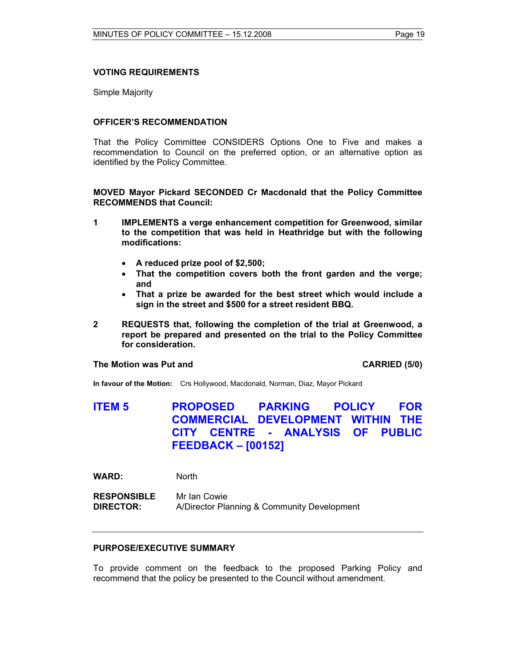#### **VOTING REQUIREMENTS**

Simple Majority

#### **OFFICER'S RECOMMENDATION**

That the Policy Committee CONSIDERS Options One to Five and makes a recommendation to Council on the preferred option, or an alternative option as identified by the Policy Committee.

**MOVED Mayor Pickard SECONDED Cr Macdonald that the Policy Committee RECOMMENDS that Council:** 

- **1 IMPLEMENTS a verge enhancement competition for Greenwood, similar to the competition that was held in Heathridge but with the following modifications:** 
	- **A reduced prize pool of \$2,500;**
	- **That the competition covers both the front garden and the verge; and**
	- **That a prize be awarded for the best street which would include a sign in the street and \$500 for a street resident BBQ.**
- **2 REQUESTS that, following the completion of the trial at Greenwood, a report be prepared and presented on the trial to the Policy Committee for consideration.**

#### **The Motion was Put and CARRIED (5/0) CARRIED (5/0)**

**In favour of the Motion:** Crs Hollywood, Macdonald, Norman, Diaz, Mayor Pickard

# **ITEM 5 PROPOSED PARKING POLICY FOR COMMERCIAL DEVELOPMENT WITHIN THE CITY CENTRE - ANALYSIS OF PUBLIC FEEDBACK – [00152]**

**WARD:** North

**RESPONSIBLE** Mr Ian Cowie **DIRECTOR:** A/Director Planning & Community Development

#### **PURPOSE/EXECUTIVE SUMMARY**

To provide comment on the feedback to the proposed Parking Policy and recommend that the policy be presented to the Council without amendment.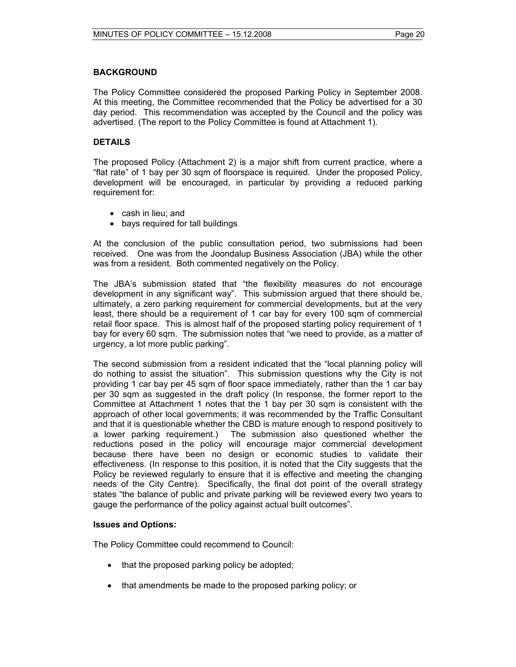#### **BACKGROUND**

The Policy Committee considered the proposed Parking Policy in September 2008. At this meeting, the Committee recommended that the Policy be advertised for a 30 day period. This recommendation was accepted by the Council and the policy was advertised. (The report to the Policy Committee is found at Attachment 1).

#### **DETAILS**

The proposed Policy (Attachment 2) is a major shift from current practice, where a "flat rate" of 1 bay per 30 sqm of floorspace is required. Under the proposed Policy, development will be encouraged, in particular by providing a reduced parking requirement for:

- cash in lieu; and
- bays required for tall buildings

At the conclusion of the public consultation period, two submissions had been received. One was from the Joondalup Business Association (JBA) while the other was from a resident. Both commented negatively on the Policy.

The JBA's submission stated that "the flexibility measures do not encourage development in any significant way". This submission argued that there should be, ultimately, a zero parking requirement for commercial developments, but at the very least, there should be a requirement of 1 car bay for every 100 sqm of commercial retail floor space. This is almost half of the proposed starting policy requirement of 1 bay for every 60 sqm. The submission notes that "we need to provide, as a matter of urgency, a lot more public parking".

The second submission from a resident indicated that the "local planning policy will do nothing to assist the situation". This submission questions why the City is not providing 1 car bay per 45 sqm of floor space immediately, rather than the 1 car bay per 30 sqm as suggested in the draft policy (In response, the former report to the Committee at Attachment 1 notes that the 1 bay per 30 sqm is consistent with the approach of other local governments; it was recommended by the Traffic Consultant and that it is questionable whether the CBD is mature enough to respond positively to a lower parking requirement.) The submission also questioned whether the reductions posed in the policy will encourage major commercial development because there have been no design or economic studies to validate their effectiveness. (In response to this position, it is noted that the City suggests that the Policy be reviewed regularly to ensure that it is effective and meeting the changing needs of the City Centre). Specifically, the final dot point of the overall strategy states "the balance of public and private parking will be reviewed every two years to gauge the performance of the policy against actual built outcomes".

#### **Issues and Options:**

The Policy Committee could recommend to Council:

- that the proposed parking policy be adopted;
- that amendments be made to the proposed parking policy; or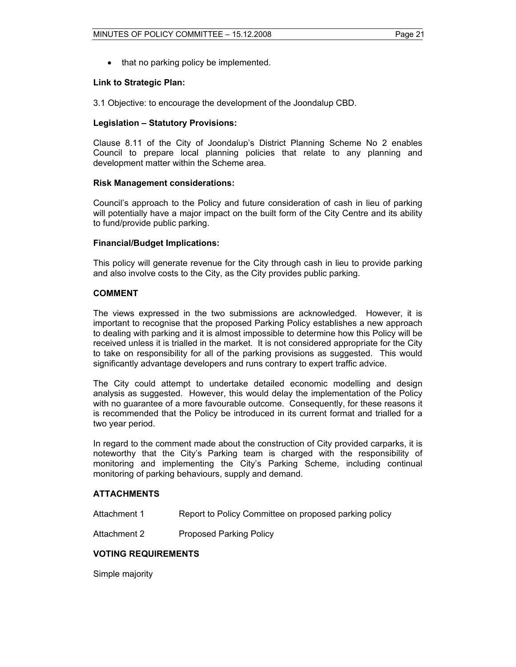• that no parking policy be implemented.

#### **Link to Strategic Plan:**

3.1 Objective: to encourage the development of the Joondalup CBD.

#### **Legislation – Statutory Provisions:**

Clause 8.11 of the City of Joondalup's District Planning Scheme No 2 enables Council to prepare local planning policies that relate to any planning and development matter within the Scheme area.

#### **Risk Management considerations:**

Council's approach to the Policy and future consideration of cash in lieu of parking will potentially have a major impact on the built form of the City Centre and its ability to fund/provide public parking.

#### **Financial/Budget Implications:**

This policy will generate revenue for the City through cash in lieu to provide parking and also involve costs to the City, as the City provides public parking.

#### **COMMENT**

The views expressed in the two submissions are acknowledged. However, it is important to recognise that the proposed Parking Policy establishes a new approach to dealing with parking and it is almost impossible to determine how this Policy will be received unless it is trialled in the market. It is not considered appropriate for the City to take on responsibility for all of the parking provisions as suggested. This would significantly advantage developers and runs contrary to expert traffic advice.

The City could attempt to undertake detailed economic modelling and design analysis as suggested. However, this would delay the implementation of the Policy with no guarantee of a more favourable outcome. Consequently, for these reasons it is recommended that the Policy be introduced in its current format and trialled for a two year period.

In regard to the comment made about the construction of City provided carparks, it is noteworthy that the City's Parking team is charged with the responsibility of monitoring and implementing the City's Parking Scheme, including continual monitoring of parking behaviours, supply and demand.

#### **ATTACHMENTS**

Attachment 1 Report to Policy Committee on proposed parking policy

Attachment 2 Proposed Parking Policy

#### **VOTING REQUIREMENTS**

Simple majority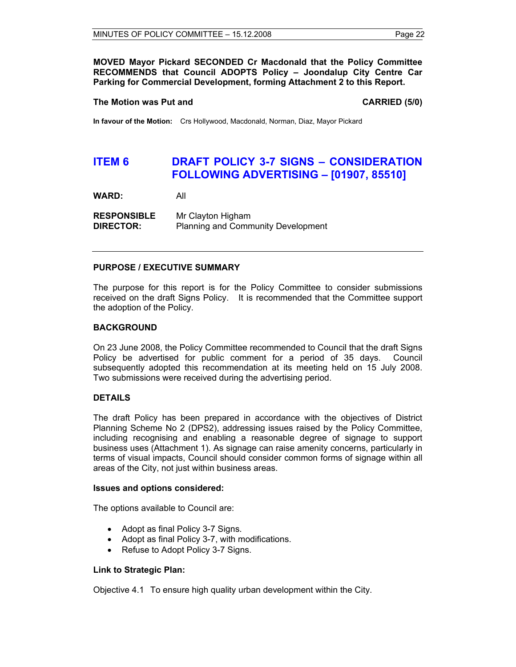**MOVED Mayor Pickard SECONDED Cr Macdonald that the Policy Committee RECOMMENDS that Council ADOPTS Policy – Joondalup City Centre Car Parking for Commercial Development, forming Attachment 2 to this Report.** 

#### **The Motion was Put and CARRIED (5/0) CARRIED (5/0)**

**In favour of the Motion:** Crs Hollywood, Macdonald, Norman, Diaz, Mayor Pickard

# **ITEM 6 DRAFT POLICY 3-7 SIGNS – CONSIDERATION FOLLOWING ADVERTISING – [01907, 85510]**

**WARD:** All

**RESPONSIBLE** Mr Clayton Higham **DIRECTOR:** Planning and Community Development

#### **PURPOSE / EXECUTIVE SUMMARY**

The purpose for this report is for the Policy Committee to consider submissions received on the draft Signs Policy. It is recommended that the Committee support the adoption of the Policy.

#### **BACKGROUND**

On 23 June 2008, the Policy Committee recommended to Council that the draft Signs Policy be advertised for public comment for a period of 35 days. Council subsequently adopted this recommendation at its meeting held on 15 July 2008. Two submissions were received during the advertising period.

#### **DETAILS**

The draft Policy has been prepared in accordance with the objectives of District Planning Scheme No 2 (DPS2), addressing issues raised by the Policy Committee, including recognising and enabling a reasonable degree of signage to support business uses (Attachment 1). As signage can raise amenity concerns, particularly in terms of visual impacts, Council should consider common forms of signage within all areas of the City, not just within business areas.

#### **Issues and options considered:**

The options available to Council are:

- Adopt as final Policy 3-7 Signs.
- Adopt as final Policy 3-7, with modifications.
- Refuse to Adopt Policy 3-7 Signs.

#### **Link to Strategic Plan:**

Objective 4.1 To ensure high quality urban development within the City.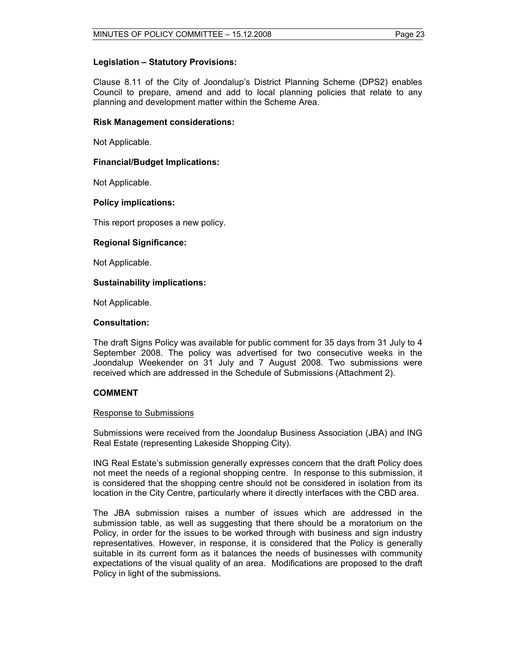#### **Legislation – Statutory Provisions:**

Clause 8.11 of the City of Joondalup's District Planning Scheme (DPS2) enables Council to prepare, amend and add to local planning policies that relate to any planning and development matter within the Scheme Area.

#### **Risk Management considerations:**

Not Applicable.

#### **Financial/Budget Implications:**

Not Applicable.

#### **Policy implications:**

This report proposes a new policy.

#### **Regional Significance:**

Not Applicable.

#### **Sustainability implications:**

Not Applicable.

#### **Consultation:**

The draft Signs Policy was available for public comment for 35 days from 31 July to 4 September 2008. The policy was advertised for two consecutive weeks in the Joondalup Weekender on 31 July and 7 August 2008. Two submissions were received which are addressed in the Schedule of Submissions (Attachment 2).

#### **COMMENT**

#### Response to Submissions

Submissions were received from the Joondalup Business Association (JBA) and ING Real Estate (representing Lakeside Shopping City).

ING Real Estate's submission generally expresses concern that the draft Policy does not meet the needs of a regional shopping centre. In response to this submission, it is considered that the shopping centre should not be considered in isolation from its location in the City Centre, particularly where it directly interfaces with the CBD area.

The JBA submission raises a number of issues which are addressed in the submission table, as well as suggesting that there should be a moratorium on the Policy, in order for the issues to be worked through with business and sign industry representatives. However, in response, it is considered that the Policy is generally suitable in its current form as it balances the needs of businesses with community expectations of the visual quality of an area. Modifications are proposed to the draft Policy in light of the submissions.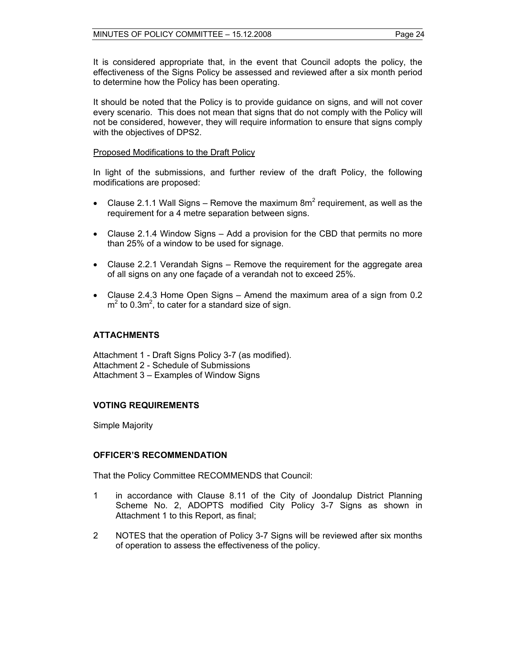It is considered appropriate that, in the event that Council adopts the policy, the effectiveness of the Signs Policy be assessed and reviewed after a six month period to determine how the Policy has been operating.

It should be noted that the Policy is to provide guidance on signs, and will not cover every scenario. This does not mean that signs that do not comply with the Policy will not be considered, however, they will require information to ensure that signs comply with the objectives of DPS2.

#### Proposed Modifications to the Draft Policy

In light of the submissions, and further review of the draft Policy, the following modifications are proposed:

- Clause 2.1.1 Wall Signs Remove the maximum  $8m^2$  requirement, as well as the requirement for a 4 metre separation between signs.
- Clause 2.1.4 Window Signs Add a provision for the CBD that permits no more than 25% of a window to be used for signage.
- Clause 2.2.1 Verandah Signs Remove the requirement for the aggregate area of all signs on any one façade of a verandah not to exceed 25%.
- Clause 2.4.3 Home Open Signs Amend the maximum area of a sign from 0.2  $m<sup>2</sup>$  to 0.3m<sup>2</sup>, to cater for a standard size of sign.

#### **ATTACHMENTS**

Attachment 1 - Draft Signs Policy 3-7 (as modified). Attachment 2 - Schedule of Submissions Attachment 3 – Examples of Window Signs

#### **VOTING REQUIREMENTS**

Simple Majority

#### **OFFICER'S RECOMMENDATION**

That the Policy Committee RECOMMENDS that Council:

- 1 in accordance with Clause 8.11 of the City of Joondalup District Planning Scheme No. 2, ADOPTS modified City Policy 3-7 Signs as shown in Attachment 1 to this Report, as final;
- 2 NOTES that the operation of Policy 3-7 Signs will be reviewed after six months of operation to assess the effectiveness of the policy.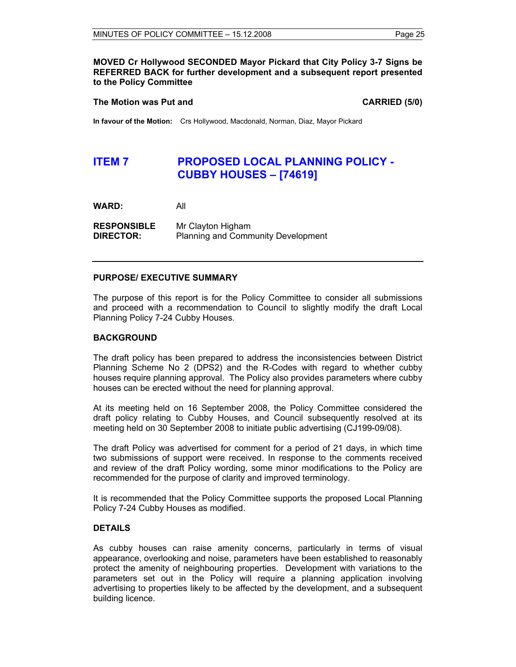#### **MOVED Cr Hollywood SECONDED Mayor Pickard that City Policy 3-7 Signs be REFERRED BACK for further development and a subsequent report presented to the Policy Committee**

#### **The Motion was Put and CARRIED (5/0) CARRIED** (5/0)

**In favour of the Motion:** Crs Hollywood, Macdonald, Norman, Diaz, Mayor Pickard

# **ITEM 7 PROPOSED LOCAL PLANNING POLICY -CUBBY HOUSES – [74619]**

**WARD:** All

**RESPONSIBLE** Mr Clayton Higham **DIRECTOR:** Planning and Community Development

#### **PURPOSE/ EXECUTIVE SUMMARY**

The purpose of this report is for the Policy Committee to consider all submissions and proceed with a recommendation to Council to slightly modify the draft Local Planning Policy 7-24 Cubby Houses.

#### **BACKGROUND**

The draft policy has been prepared to address the inconsistencies between District Planning Scheme No 2 (DPS2) and the R-Codes with regard to whether cubby houses require planning approval. The Policy also provides parameters where cubby houses can be erected without the need for planning approval.

At its meeting held on 16 September 2008, the Policy Committee considered the draft policy relating to Cubby Houses, and Council subsequently resolved at its meeting held on 30 September 2008 to initiate public advertising (CJ199-09/08).

The draft Policy was advertised for comment for a period of 21 days, in which time two submissions of support were received. In response to the comments received and review of the draft Policy wording, some minor modifications to the Policy are recommended for the purpose of clarity and improved terminology.

It is recommended that the Policy Committee supports the proposed Local Planning Policy 7-24 Cubby Houses as modified.

#### **DETAILS**

As cubby houses can raise amenity concerns, particularly in terms of visual appearance, overlooking and noise, parameters have been established to reasonably protect the amenity of neighbouring properties. Development with variations to the parameters set out in the Policy will require a planning application involving advertising to properties likely to be affected by the development, and a subsequent building licence.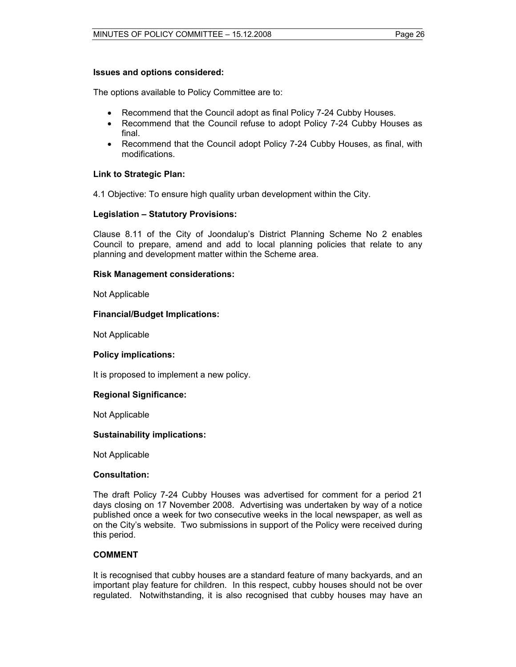#### **Issues and options considered:**

The options available to Policy Committee are to:

- Recommend that the Council adopt as final Policy 7-24 Cubby Houses.
- Recommend that the Council refuse to adopt Policy 7-24 Cubby Houses as final.
- Recommend that the Council adopt Policy 7-24 Cubby Houses, as final, with modifications.

#### **Link to Strategic Plan:**

4.1 Objective: To ensure high quality urban development within the City.

#### **Legislation – Statutory Provisions:**

Clause 8.11 of the City of Joondalup's District Planning Scheme No 2 enables Council to prepare, amend and add to local planning policies that relate to any planning and development matter within the Scheme area.

#### **Risk Management considerations:**

Not Applicable

#### **Financial/Budget Implications:**

Not Applicable

#### **Policy implications:**

It is proposed to implement a new policy.

#### **Regional Significance:**

Not Applicable

#### **Sustainability implications:**

Not Applicable

#### **Consultation:**

The draft Policy 7-24 Cubby Houses was advertised for comment for a period 21 days closing on 17 November 2008. Advertising was undertaken by way of a notice published once a week for two consecutive weeks in the local newspaper, as well as on the City's website. Two submissions in support of the Policy were received during this period.

#### **COMMENT**

It is recognised that cubby houses are a standard feature of many backyards, and an important play feature for children. In this respect, cubby houses should not be over regulated. Notwithstanding, it is also recognised that cubby houses may have an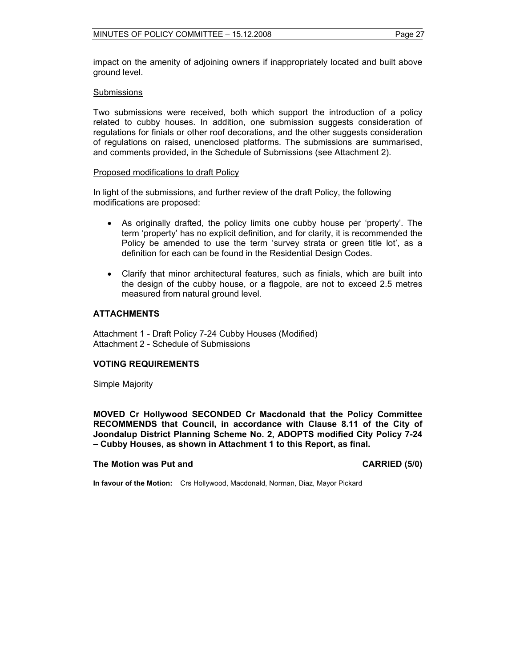impact on the amenity of adjoining owners if inappropriately located and built above ground level.

#### Submissions

Two submissions were received, both which support the introduction of a policy related to cubby houses. In addition, one submission suggests consideration of regulations for finials or other roof decorations, and the other suggests consideration of regulations on raised, unenclosed platforms. The submissions are summarised, and comments provided, in the Schedule of Submissions (see Attachment 2).

#### Proposed modifications to draft Policy

In light of the submissions, and further review of the draft Policy, the following modifications are proposed:

- As originally drafted, the policy limits one cubby house per 'property'. The term 'property' has no explicit definition, and for clarity, it is recommended the Policy be amended to use the term 'survey strata or green title lot', as a definition for each can be found in the Residential Design Codes.
- Clarify that minor architectural features, such as finials, which are built into the design of the cubby house, or a flagpole, are not to exceed 2.5 metres measured from natural ground level.

#### **ATTACHMENTS**

Attachment 1 - Draft Policy 7-24 Cubby Houses (Modified) Attachment 2 - Schedule of Submissions

#### **VOTING REQUIREMENTS**

Simple Majority

**MOVED Cr Hollywood SECONDED Cr Macdonald that the Policy Committee RECOMMENDS that Council, in accordance with Clause 8.11 of the City of Joondalup District Planning Scheme No. 2, ADOPTS modified City Policy 7-24 – Cubby Houses, as shown in Attachment 1 to this Report, as final.** 

#### **The Motion was Put and CARRIED (5/0) CARRIED (5/0)**

**In favour of the Motion:** Crs Hollywood, Macdonald, Norman, Diaz, Mayor Pickard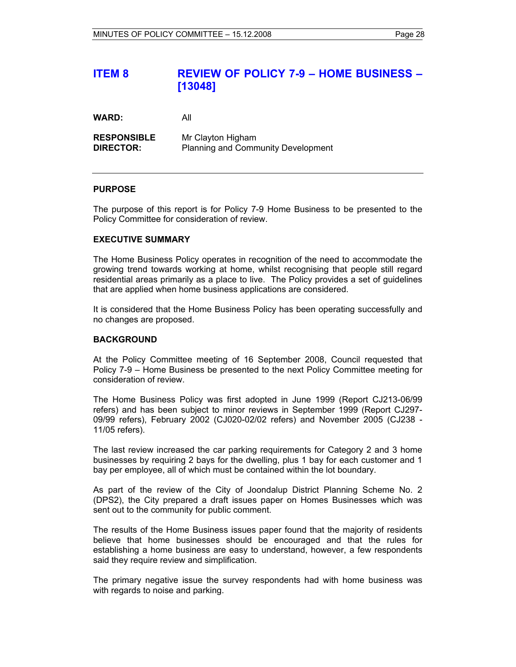# **ITEM 8 REVIEW OF POLICY 7-9 – HOME BUSINESS – [13048]**

**WARD:** All

| <b>RESPONSIBLE</b> | Mr Clayton Higham                         |
|--------------------|-------------------------------------------|
| <b>DIRECTOR:</b>   | <b>Planning and Community Development</b> |

#### **PURPOSE**

The purpose of this report is for Policy 7-9 Home Business to be presented to the Policy Committee for consideration of review.

#### **EXECUTIVE SUMMARY**

The Home Business Policy operates in recognition of the need to accommodate the growing trend towards working at home, whilst recognising that people still regard residential areas primarily as a place to live. The Policy provides a set of guidelines that are applied when home business applications are considered.

It is considered that the Home Business Policy has been operating successfully and no changes are proposed.

#### **BACKGROUND**

At the Policy Committee meeting of 16 September 2008, Council requested that Policy 7-9 – Home Business be presented to the next Policy Committee meeting for consideration of review.

The Home Business Policy was first adopted in June 1999 (Report CJ213-06/99 refers) and has been subject to minor reviews in September 1999 (Report CJ297- 09/99 refers), February 2002 (CJ020-02/02 refers) and November 2005 (CJ238 - 11/05 refers).

The last review increased the car parking requirements for Category 2 and 3 home businesses by requiring 2 bays for the dwelling, plus 1 bay for each customer and 1 bay per employee, all of which must be contained within the lot boundary.

As part of the review of the City of Joondalup District Planning Scheme No. 2 (DPS2), the City prepared a draft issues paper on Homes Businesses which was sent out to the community for public comment.

The results of the Home Business issues paper found that the majority of residents believe that home businesses should be encouraged and that the rules for establishing a home business are easy to understand, however, a few respondents said they require review and simplification.

The primary negative issue the survey respondents had with home business was with regards to noise and parking.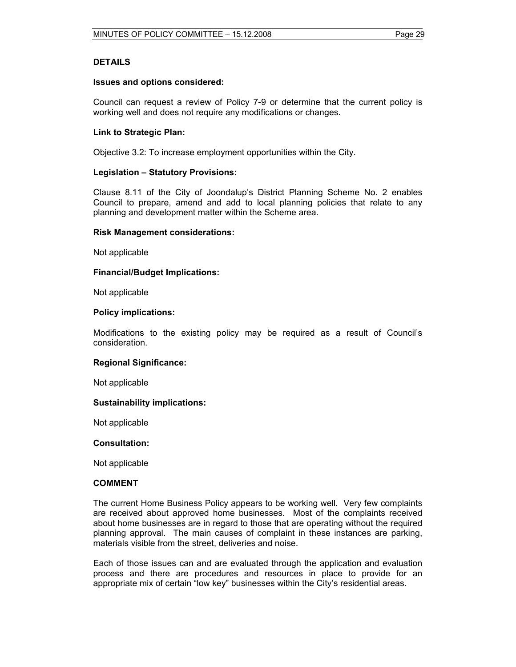#### **DETAILS**

#### **Issues and options considered:**

Council can request a review of Policy 7-9 or determine that the current policy is working well and does not require any modifications or changes.

#### **Link to Strategic Plan:**

Objective 3.2: To increase employment opportunities within the City.

#### **Legislation – Statutory Provisions:**

Clause 8.11 of the City of Joondalup's District Planning Scheme No. 2 enables Council to prepare, amend and add to local planning policies that relate to any planning and development matter within the Scheme area.

#### **Risk Management considerations:**

Not applicable

#### **Financial/Budget Implications:**

Not applicable

#### **Policy implications:**

Modifications to the existing policy may be required as a result of Council's consideration.

#### **Regional Significance:**

Not applicable

#### **Sustainability implications:**

Not applicable

#### **Consultation:**

Not applicable

#### **COMMENT**

The current Home Business Policy appears to be working well. Very few complaints are received about approved home businesses. Most of the complaints received about home businesses are in regard to those that are operating without the required planning approval. The main causes of complaint in these instances are parking, materials visible from the street, deliveries and noise.

Each of those issues can and are evaluated through the application and evaluation process and there are procedures and resources in place to provide for an appropriate mix of certain "low key" businesses within the City's residential areas.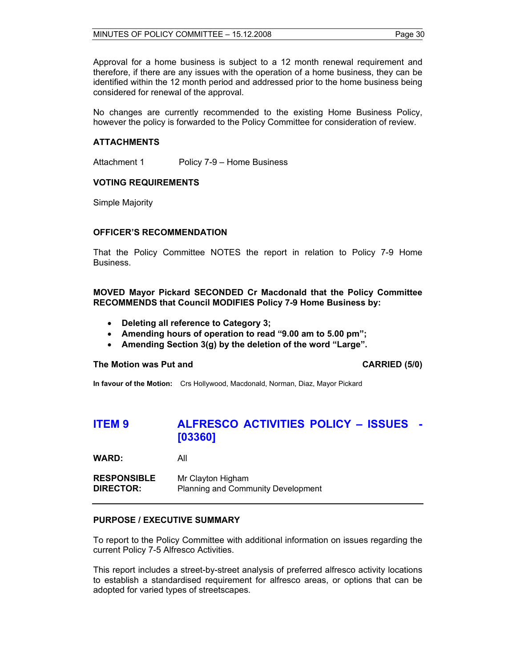Approval for a home business is subject to a 12 month renewal requirement and therefore, if there are any issues with the operation of a home business, they can be identified within the 12 month period and addressed prior to the home business being considered for renewal of the approval.

No changes are currently recommended to the existing Home Business Policy, however the policy is forwarded to the Policy Committee for consideration of review.

#### **ATTACHMENTS**

Attachment 1 Policy 7-9 – Home Business

#### **VOTING REQUIREMENTS**

Simple Majority

#### **OFFICER'S RECOMMENDATION**

That the Policy Committee NOTES the report in relation to Policy 7-9 Home Business.

#### **MOVED Mayor Pickard SECONDED Cr Macdonald that the Policy Committee RECOMMENDS that Council MODIFIES Policy 7-9 Home Business by:**

- **Deleting all reference to Category 3;**
- **Amending hours of operation to read "9.00 am to 5.00 pm";**
- **Amending Section 3(g) by the deletion of the word "Large".**

#### **The Motion was Put and CARRIED (5/0) CARRIED (5/0)**

**In favour of the Motion:** Crs Hollywood, Macdonald, Norman, Diaz, Mayor Pickard

# **ITEM 9 ALFRESCO ACTIVITIES POLICY – ISSUES - [03360]**

**WARD:** All

| <b>RESPONSIBLE</b> | Mr Clayton Higham                         |
|--------------------|-------------------------------------------|
| <b>DIRECTOR:</b>   | <b>Planning and Community Development</b> |

#### **PURPOSE / EXECUTIVE SUMMARY**

To report to the Policy Committee with additional information on issues regarding the current Policy 7-5 Alfresco Activities.

This report includes a street-by-street analysis of preferred alfresco activity locations to establish a standardised requirement for alfresco areas, or options that can be adopted for varied types of streetscapes.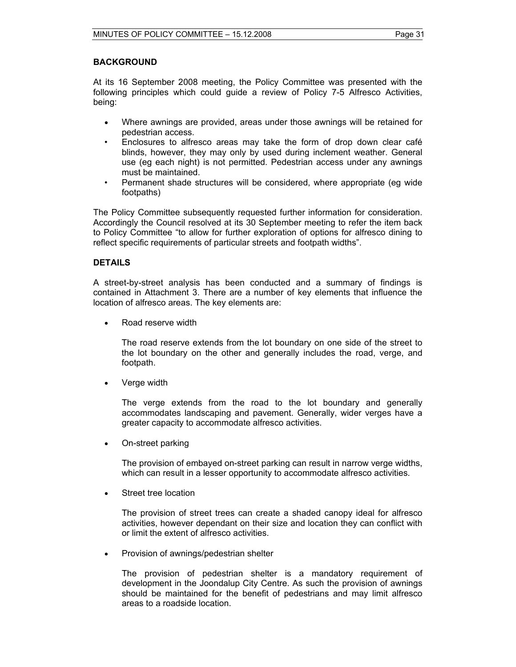#### **BACKGROUND**

At its 16 September 2008 meeting, the Policy Committee was presented with the following principles which could guide a review of Policy 7-5 Alfresco Activities, being:

- Where awnings are provided, areas under those awnings will be retained for pedestrian access.
- Enclosures to alfresco areas may take the form of drop down clear café blinds, however, they may only by used during inclement weather. General use (eg each night) is not permitted. Pedestrian access under any awnings must be maintained.
- Permanent shade structures will be considered, where appropriate (eg wide footpaths)

The Policy Committee subsequently requested further information for consideration. Accordingly the Council resolved at its 30 September meeting to refer the item back to Policy Committee "to allow for further exploration of options for alfresco dining to reflect specific requirements of particular streets and footpath widths".

#### **DETAILS**

A street-by-street analysis has been conducted and a summary of findings is contained in Attachment 3. There are a number of key elements that influence the location of alfresco areas. The key elements are:

• Road reserve width

The road reserve extends from the lot boundary on one side of the street to the lot boundary on the other and generally includes the road, verge, and footpath.

• Verge width

The verge extends from the road to the lot boundary and generally accommodates landscaping and pavement. Generally, wider verges have a greater capacity to accommodate alfresco activities.

• On-street parking

The provision of embayed on-street parking can result in narrow verge widths, which can result in a lesser opportunity to accommodate alfresco activities.

• Street tree location

The provision of street trees can create a shaded canopy ideal for alfresco activities, however dependant on their size and location they can conflict with or limit the extent of alfresco activities.

• Provision of awnings/pedestrian shelter

The provision of pedestrian shelter is a mandatory requirement of development in the Joondalup City Centre. As such the provision of awnings should be maintained for the benefit of pedestrians and may limit alfresco areas to a roadside location.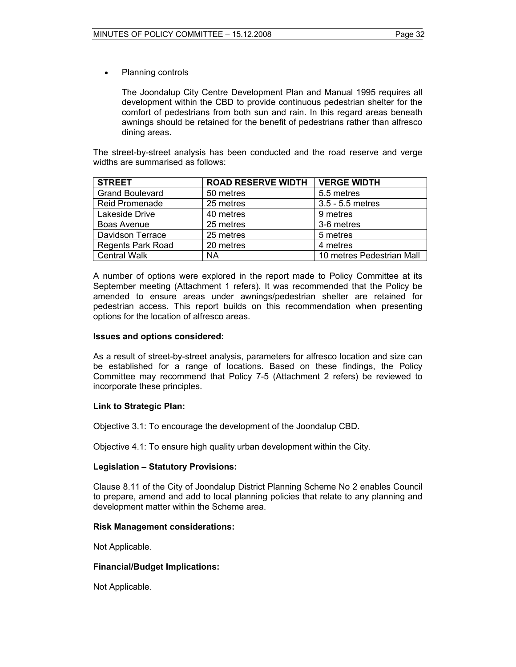• Planning controls

The Joondalup City Centre Development Plan and Manual 1995 requires all development within the CBD to provide continuous pedestrian shelter for the comfort of pedestrians from both sun and rain. In this regard areas beneath awnings should be retained for the benefit of pedestrians rather than alfresco dining areas.

The street-by-street analysis has been conducted and the road reserve and verge widths are summarised as follows:

| <b>STREET</b>            | <b>ROAD RESERVE WIDTH</b> | <b>VERGE WIDTH</b>        |
|--------------------------|---------------------------|---------------------------|
| <b>Grand Boulevard</b>   | 50 metres                 | 5.5 metres                |
| <b>Reid Promenade</b>    | 25 metres                 | 3.5 - 5.5 metres          |
| Lakeside Drive           | 40 metres                 | 9 metres                  |
| Boas Avenue              | 25 metres                 | 3-6 metres                |
| Davidson Terrace         | 25 metres                 | 5 metres                  |
| <b>Regents Park Road</b> | 20 metres                 | 4 metres                  |
| <b>Central Walk</b>      | ΝA                        | 10 metres Pedestrian Mall |

A number of options were explored in the report made to Policy Committee at its September meeting (Attachment 1 refers). It was recommended that the Policy be amended to ensure areas under awnings/pedestrian shelter are retained for pedestrian access. This report builds on this recommendation when presenting options for the location of alfresco areas.

#### **Issues and options considered:**

As a result of street-by-street analysis, parameters for alfresco location and size can be established for a range of locations. Based on these findings, the Policy Committee may recommend that Policy 7-5 (Attachment 2 refers) be reviewed to incorporate these principles.

#### **Link to Strategic Plan:**

Objective 3.1: To encourage the development of the Joondalup CBD.

Objective 4.1: To ensure high quality urban development within the City.

#### **Legislation – Statutory Provisions:**

Clause 8.11 of the City of Joondalup District Planning Scheme No 2 enables Council to prepare, amend and add to local planning policies that relate to any planning and development matter within the Scheme area.

#### **Risk Management considerations:**

Not Applicable.

#### **Financial/Budget Implications:**

Not Applicable.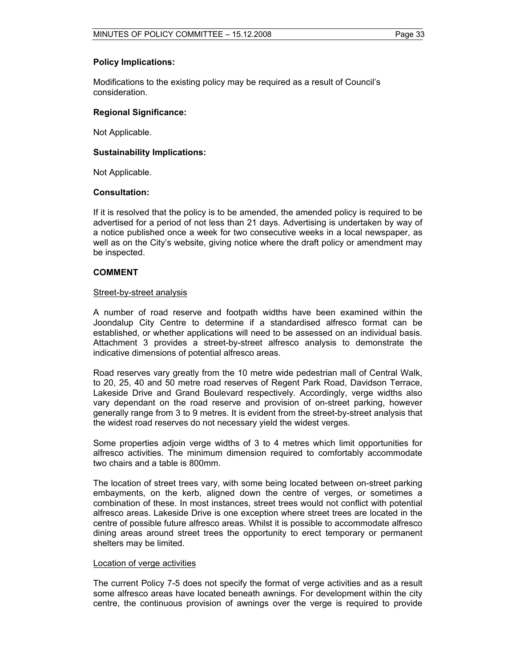#### **Policy Implications:**

Modifications to the existing policy may be required as a result of Council's consideration.

#### **Regional Significance:**

Not Applicable.

#### **Sustainability Implications:**

Not Applicable.

#### **Consultation:**

If it is resolved that the policy is to be amended, the amended policy is required to be advertised for a period of not less than 21 days. Advertising is undertaken by way of a notice published once a week for two consecutive weeks in a local newspaper, as well as on the City's website, giving notice where the draft policy or amendment may be inspected.

#### **COMMENT**

#### Street-by-street analysis

A number of road reserve and footpath widths have been examined within the Joondalup City Centre to determine if a standardised alfresco format can be established, or whether applications will need to be assessed on an individual basis. Attachment 3 provides a street-by-street alfresco analysis to demonstrate the indicative dimensions of potential alfresco areas.

Road reserves vary greatly from the 10 metre wide pedestrian mall of Central Walk, to 20, 25, 40 and 50 metre road reserves of Regent Park Road, Davidson Terrace, Lakeside Drive and Grand Boulevard respectively. Accordingly, verge widths also vary dependant on the road reserve and provision of on-street parking, however generally range from 3 to 9 metres. It is evident from the street-by-street analysis that the widest road reserves do not necessary yield the widest verges.

Some properties adjoin verge widths of 3 to 4 metres which limit opportunities for alfresco activities. The minimum dimension required to comfortably accommodate two chairs and a table is 800mm.

The location of street trees vary, with some being located between on-street parking embayments, on the kerb, aligned down the centre of verges, or sometimes a combination of these. In most instances, street trees would not conflict with potential alfresco areas. Lakeside Drive is one exception where street trees are located in the centre of possible future alfresco areas. Whilst it is possible to accommodate alfresco dining areas around street trees the opportunity to erect temporary or permanent shelters may be limited.

#### Location of verge activities

The current Policy 7-5 does not specify the format of verge activities and as a result some alfresco areas have located beneath awnings. For development within the city centre, the continuous provision of awnings over the verge is required to provide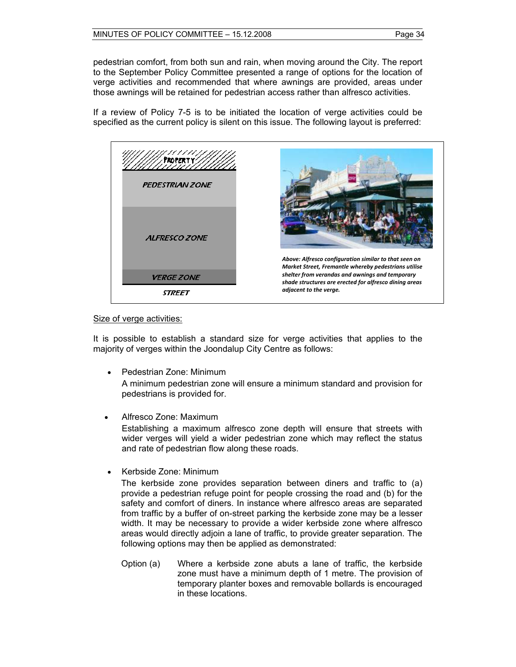pedestrian comfort, from both sun and rain, when moving around the City. The report to the September Policy Committee presented a range of options for the location of verge activities and recommended that where awnings are provided, areas under those awnings will be retained for pedestrian access rather than alfresco activities.

If a review of Policy 7-5 is to be initiated the location of verge activities could be specified as the current policy is silent on this issue. The following layout is preferred:



#### Size of verge activities:

It is possible to establish a standard size for verge activities that applies to the majority of verges within the Joondalup City Centre as follows:

- Pedestrian Zone: Minimum A minimum pedestrian zone will ensure a minimum standard and provision for pedestrians is provided for.
- Alfresco Zone: Maximum

Establishing a maximum alfresco zone depth will ensure that streets with wider verges will yield a wider pedestrian zone which may reflect the status and rate of pedestrian flow along these roads.

• Kerbside Zone: Minimum

The kerbside zone provides separation between diners and traffic to (a) provide a pedestrian refuge point for people crossing the road and (b) for the safety and comfort of diners. In instance where alfresco areas are separated from traffic by a buffer of on-street parking the kerbside zone may be a lesser width. It may be necessary to provide a wider kerbside zone where alfresco areas would directly adjoin a lane of traffic, to provide greater separation. The following options may then be applied as demonstrated:

Option (a) Where a kerbside zone abuts a lane of traffic, the kerbside zone must have a minimum depth of 1 metre. The provision of temporary planter boxes and removable bollards is encouraged in these locations.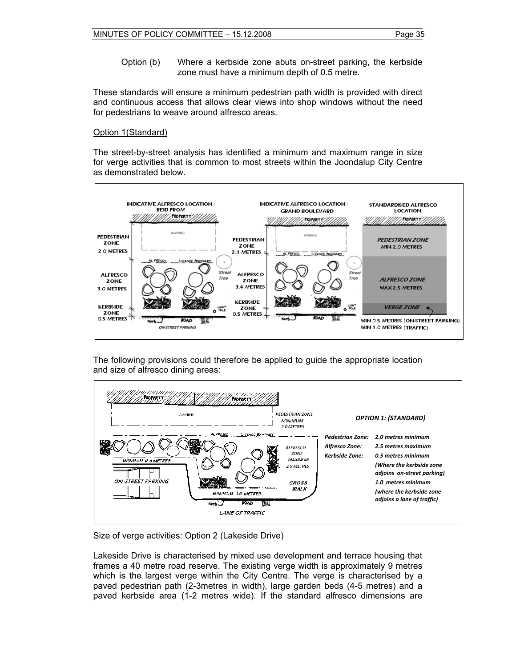Option (b) Where a kerbside zone abuts on-street parking, the kerbside zone must have a minimum depth of 0.5 metre.

These standards will ensure a minimum pedestrian path width is provided with direct and continuous access that allows clear views into shop windows without the need for pedestrians to weave around alfresco areas.

#### Option 1(Standard)

The street-by-street analysis has identified a minimum and maximum range in size for verge activities that is common to most streets within the Joondalup City Centre as demonstrated below.



The following provisions could therefore be applied to guide the appropriate location and size of alfresco dining areas:



Size of verge activities: Option 2 (Lakeside Drive)

Lakeside Drive is characterised by mixed use development and terrace housing that frames a 40 metre road reserve. The existing verge width is approximately 9 metres which is the largest verge within the City Centre. The verge is characterised by a paved pedestrian path (2-3metres in width), large garden beds (4-5 metres) and a paved kerbside area (1-2 metres wide). If the standard alfresco dimensions are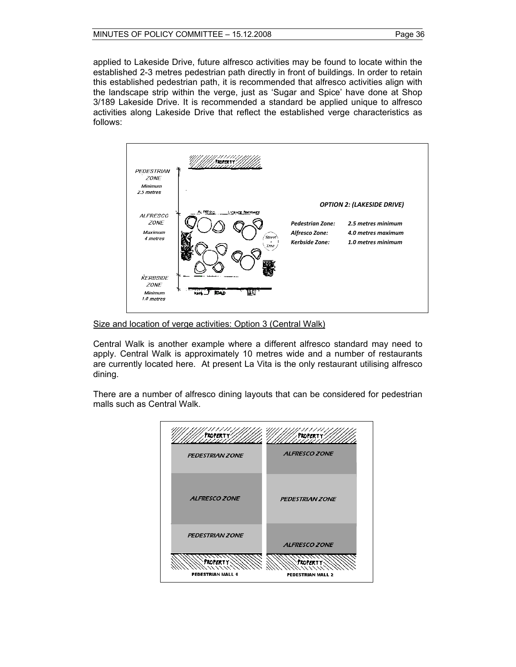applied to Lakeside Drive, future alfresco activities may be found to locate within the established 2-3 metres pedestrian path directly in front of buildings. In order to retain this established pedestrian path, it is recommended that alfresco activities align with the landscape strip within the verge, just as 'Sugar and Spice' have done at Shop 3/189 Lakeside Drive. It is recommended a standard be applied unique to alfresco activities along Lakeside Drive that reflect the established verge characteristics as follows:



Size and location of verge activities: Option 3 (Central Walk)

Central Walk is another example where a different alfresco standard may need to apply. Central Walk is approximately 10 metres wide and a number of restaurants are currently located here. At present La Vita is the only restaurant utilising alfresco dining.

There are a number of alfresco dining layouts that can be considered for pedestrian malls such as Central Walk.

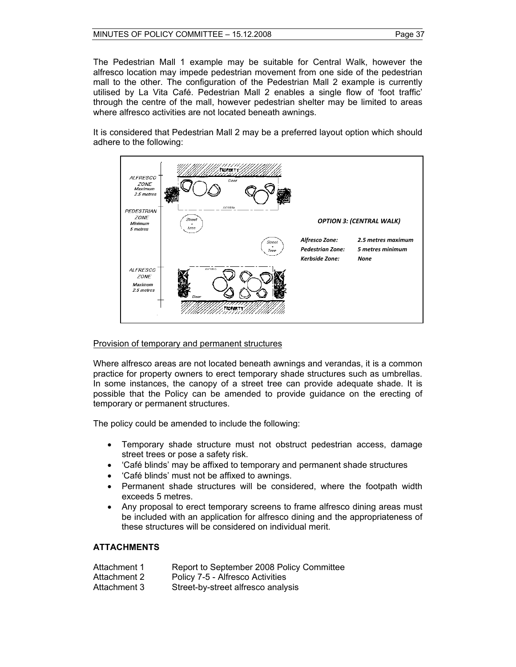The Pedestrian Mall 1 example may be suitable for Central Walk, however the alfresco location may impede pedestrian movement from one side of the pedestrian mall to the other. The configuration of the Pedestrian Mall 2 example is currently utilised by La Vita Café. Pedestrian Mall 2 enables a single flow of 'foot traffic' through the centre of the mall, however pedestrian shelter may be limited to areas where alfresco activities are not located beneath awnings.

It is considered that Pedestrian Mall 2 may be a preferred layout option which should adhere to the following:



#### Provision of temporary and permanent structures

Where alfresco areas are not located beneath awnings and verandas, it is a common practice for property owners to erect temporary shade structures such as umbrellas. In some instances, the canopy of a street tree can provide adequate shade. It is possible that the Policy can be amended to provide guidance on the erecting of temporary or permanent structures.

The policy could be amended to include the following:

- Temporary shade structure must not obstruct pedestrian access, damage street trees or pose a safety risk.
- 'Café blinds' may be affixed to temporary and permanent shade structures
- 'Café blinds' must not be affixed to awnings.
- Permanent shade structures will be considered, where the footpath width exceeds 5 metres.
- Any proposal to erect temporary screens to frame alfresco dining areas must be included with an application for alfresco dining and the appropriateness of these structures will be considered on individual merit.

#### **ATTACHMENTS**

| Attachment 1 | Report to September 2008 Policy Committee |
|--------------|-------------------------------------------|
| Attachment 2 | Policy 7-5 - Alfresco Activities          |
| Attachment 3 | Street-by-street alfresco analysis        |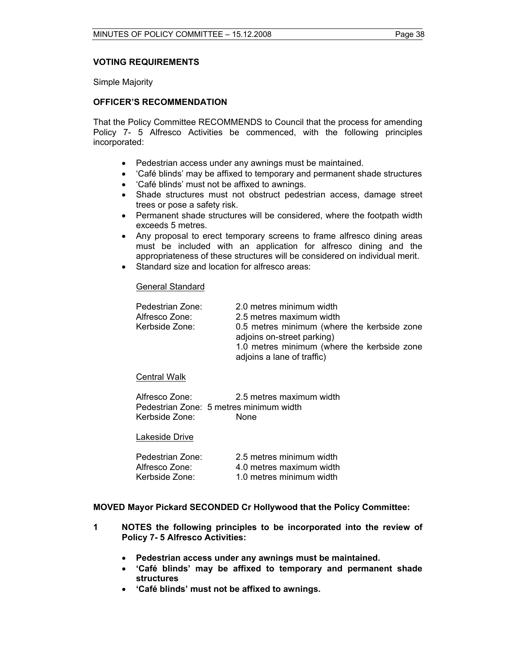### **VOTING REQUIREMENTS**

Simple Majority

#### **OFFICER'S RECOMMENDATION**

That the Policy Committee RECOMMENDS to Council that the process for amending Policy 7- 5 Alfresco Activities be commenced, with the following principles incorporated:

- Pedestrian access under any awnings must be maintained.
- 'Café blinds' may be affixed to temporary and permanent shade structures
- 'Café blinds' must not be affixed to awnings.
- Shade structures must not obstruct pedestrian access, damage street trees or pose a safety risk.
- Permanent shade structures will be considered, where the footpath width exceeds 5 metres.
- Any proposal to erect temporary screens to frame alfresco dining areas must be included with an application for alfresco dining and the appropriateness of these structures will be considered on individual merit.
- Standard size and location for alfresco areas:

#### General Standard

| Pedestrian Zone:<br>Alfresco Zone: | 2.0 metres minimum width<br>2.5 metres maximum width                      |
|------------------------------------|---------------------------------------------------------------------------|
| Kerbside Zone:                     | 0.5 metres minimum (where the kerbside zone                               |
|                                    | adjoins on-street parking)                                                |
|                                    | 1.0 metres minimum (where the kerbside zone<br>adjoins a lane of traffic) |
|                                    |                                                                           |

#### Central Walk

| Alfresco Zone: | 2.5 metres maximum width                |
|----------------|-----------------------------------------|
|                | Pedestrian Zone: 5 metres minimum width |
| Kerbside Zone: | None.                                   |

#### Lakeside Drive

| Pedestrian Zone: | 2.5 metres minimum width |
|------------------|--------------------------|
| Alfresco Zone:   | 4.0 metres maximum width |
| Kerbside Zone:   | 1.0 metres minimum width |

#### **MOVED Mayor Pickard SECONDED Cr Hollywood that the Policy Committee:**

- **1 NOTES the following principles to be incorporated into the review of Policy 7- 5 Alfresco Activities:**
	- **Pedestrian access under any awnings must be maintained.**
	- **'Café blinds' may be affixed to temporary and permanent shade structures**
	- **'Café blinds' must not be affixed to awnings.**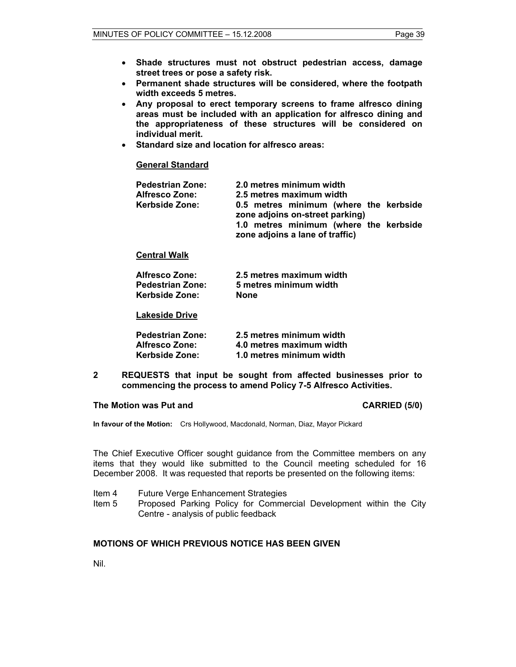- **Shade structures must not obstruct pedestrian access, damage street trees or pose a safety risk.**
- **Permanent shade structures will be considered, where the footpath width exceeds 5 metres.**
- **Any proposal to erect temporary screens to frame alfresco dining areas must be included with an application for alfresco dining and the appropriateness of these structures will be considered on individual merit.**
- **Standard size and location for alfresco areas:**

#### **General Standard**

| <b>Pedestrian Zone:</b><br><b>Alfresco Zone:</b> | 2.0 metres minimum width<br>2.5 metres maximum width                      |
|--------------------------------------------------|---------------------------------------------------------------------------|
| <b>Kerbside Zone:</b>                            | 0.5 metres minimum (where the kerbside<br>zone adjoins on-street parking) |
|                                                  | 1.0 metres minimum (where the kerbside<br>zone adjoins a lane of traffic) |

#### **Central Walk**

| <b>Alfresco Zone:</b>   | 2.5 metres maximum width |
|-------------------------|--------------------------|
| <b>Pedestrian Zone:</b> | 5 metres minimum width   |
| Kerbside Zone:          | <b>None</b>              |

#### **Lakeside Drive**

| <b>Pedestrian Zone:</b> | 2.5 metres minimum width |
|-------------------------|--------------------------|
| <b>Alfresco Zone:</b>   | 4.0 metres maximum width |
| Kerbside Zone:          | 1.0 metres minimum width |

**2 REQUESTS that input be sought from affected businesses prior to commencing the process to amend Policy 7-5 Alfresco Activities.** 

#### **The Motion was Put and CARRIED (5/0) CARRIED (5/0)**

**In favour of the Motion:** Crs Hollywood, Macdonald, Norman, Diaz, Mayor Pickard

The Chief Executive Officer sought guidance from the Committee members on any items that they would like submitted to the Council meeting scheduled for 16 December 2008. It was requested that reports be presented on the following items:

- Item 4 Future Verge Enhancement Strategies
- Item 5 Proposed Parking Policy for Commercial Development within the City Centre - analysis of public feedback

#### **MOTIONS OF WHICH PREVIOUS NOTICE HAS BEEN GIVEN**

Nil.